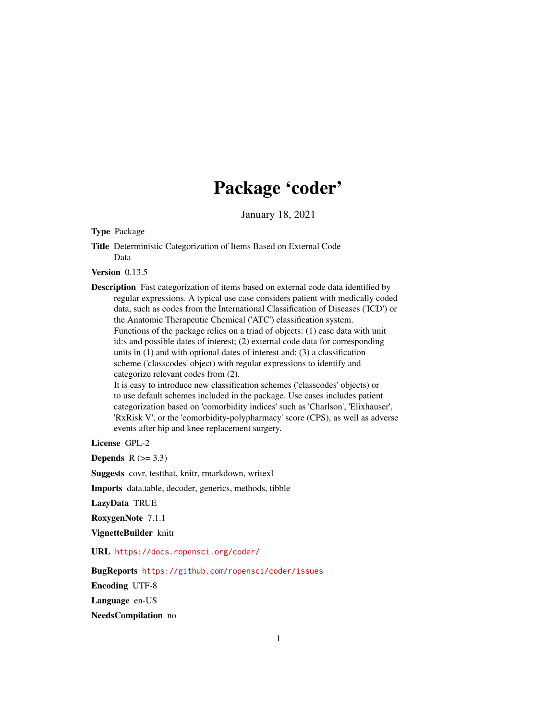# Package 'coder'

January 18, 2021

<span id="page-0-0"></span>Type Package

Title Deterministic Categorization of Items Based on External Code Data

Version 0.13.5

Description Fast categorization of items based on external code data identified by regular expressions. A typical use case considers patient with medically coded data, such as codes from the International Classification of Diseases ('ICD') or the Anatomic Therapeutic Chemical ('ATC') classification system. Functions of the package relies on a triad of objects: (1) case data with unit id:s and possible dates of interest; (2) external code data for corresponding units in (1) and with optional dates of interest and; (3) a classification scheme ('classcodes' object) with regular expressions to identify and categorize relevant codes from (2). It is easy to introduce new classification schemes ('classcodes' objects) or

to use default schemes included in the package. Use cases includes patient categorization based on 'comorbidity indices' such as 'Charlson', 'Elixhauser', 'RxRisk V', or the 'comorbidity-polypharmacy' score (CPS), as well as adverse events after hip and knee replacement surgery.

License GPL-2

**Depends**  $R$  ( $>= 3.3$ )

Suggests covr, testthat, knitr, rmarkdown, writexl

Imports data.table, decoder, generics, methods, tibble

LazyData TRUE

RoxygenNote 7.1.1

VignetteBuilder knitr

URL <https://docs.ropensci.org/coder/>

BugReports <https://github.com/ropensci/coder/issues>

Encoding UTF-8

Language en-US

NeedsCompilation no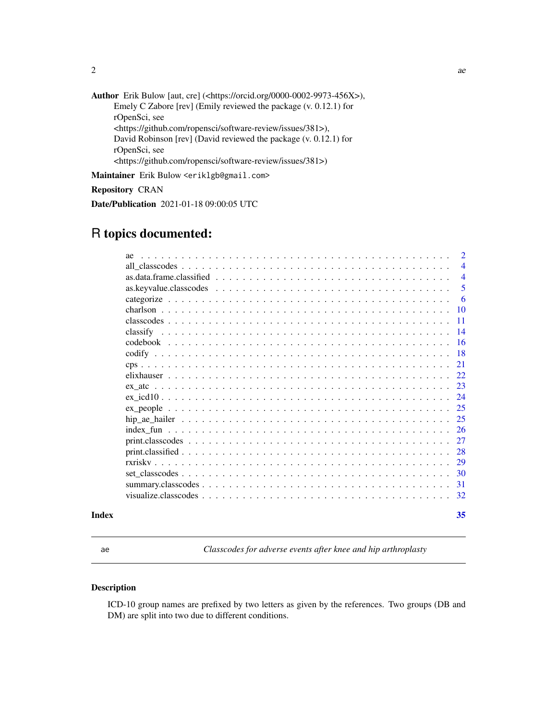<span id="page-1-0"></span>Author Erik Bulow [aut, cre] (<https://orcid.org/0000-0002-9973-456X>), Emely C Zabore [rev] (Emily reviewed the package (v. 0.12.1) for rOpenSci, see <https://github.com/ropensci/software-review/issues/381>), David Robinson [rev] (David reviewed the package (v. 0.12.1) for rOpenSci, see <https://github.com/ropensci/software-review/issues/381>)

Maintainer Erik Bulow <eriklgb@gmail.com>

Repository CRAN

Date/Publication 2021-01-18 09:00:05 UTC

# R topics documented:

|       | ae | $\overline{2}$  |
|-------|----|-----------------|
|       |    | $\overline{4}$  |
|       |    | $\overline{4}$  |
|       |    | 5               |
|       |    | 6               |
|       |    | -10             |
|       |    | -11             |
|       |    | $\overline{14}$ |
|       |    | -16             |
|       |    | <b>18</b>       |
|       |    | 21              |
|       |    | 22              |
|       |    | 23              |
|       |    | 24              |
|       |    | 25              |
|       |    | 25              |
|       |    | 26              |
|       |    | 27              |
|       |    | 28              |
|       |    | 29              |
|       |    | 30              |
|       |    | 31              |
|       |    | 32              |
| Index |    | 35              |

<span id="page-1-1"></span>

ae *Classcodes for adverse events after knee and hip arthroplasty*

# Description

ICD-10 group names are prefixed by two letters as given by the references. Two groups (DB and DM) are split into two due to different conditions.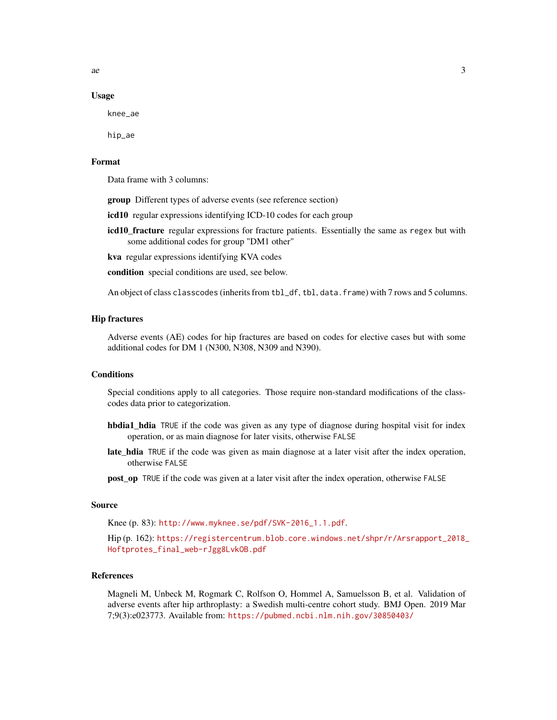$\alpha$  3

#### Usage

knee\_ae

hip\_ae

# Format

Data frame with 3 columns:

group Different types of adverse events (see reference section)

icd10 regular expressions identifying ICD-10 codes for each group

icd10\_fracture regular expressions for fracture patients. Essentially the same as regex but with some additional codes for group "DM1 other"

kva regular expressions identifying KVA codes

condition special conditions are used, see below.

An object of class classcodes (inherits from tbl\_df, tbl, data.frame) with 7 rows and 5 columns.

#### Hip fractures

Adverse events (AE) codes for hip fractures are based on codes for elective cases but with some additional codes for DM 1 (N300, N308, N309 and N390).

#### **Conditions**

Special conditions apply to all categories. Those require non-standard modifications of the classcodes data prior to categorization.

- hbdia1\_hdia TRUE if the code was given as any type of diagnose during hospital visit for index operation, or as main diagnose for later visits, otherwise FALSE
- late\_hdia TRUE if the code was given as main diagnose at a later visit after the index operation, otherwise FALSE

post\_op TRUE if the code was given at a later visit after the index operation, otherwise FALSE

#### Source

Knee (p. 83): [http://www.myknee.se/pdf/SVK-2016\\_1.1.pdf](http://www.myknee.se/pdf/SVK-2016_1.1.pdf).

Hip (p. 162): [https://registercentrum.blob.core.windows.net/shpr/r/Arsrapport\\_2018\\_](https://registercentrum.blob.core.windows.net/shpr/r/Arsrapport_2018_Hoftprotes_final_web-rJgg8LvkOB.pdf) [Hoftprotes\\_final\\_web-rJgg8LvkOB.pdf](https://registercentrum.blob.core.windows.net/shpr/r/Arsrapport_2018_Hoftprotes_final_web-rJgg8LvkOB.pdf)

#### References

Magneli M, Unbeck M, Rogmark C, Rolfson O, Hommel A, Samuelsson B, et al. Validation of adverse events after hip arthroplasty: a Swedish multi-centre cohort study. BMJ Open. 2019 Mar 7;9(3):e023773. Available from: <https://pubmed.ncbi.nlm.nih.gov/30850403/>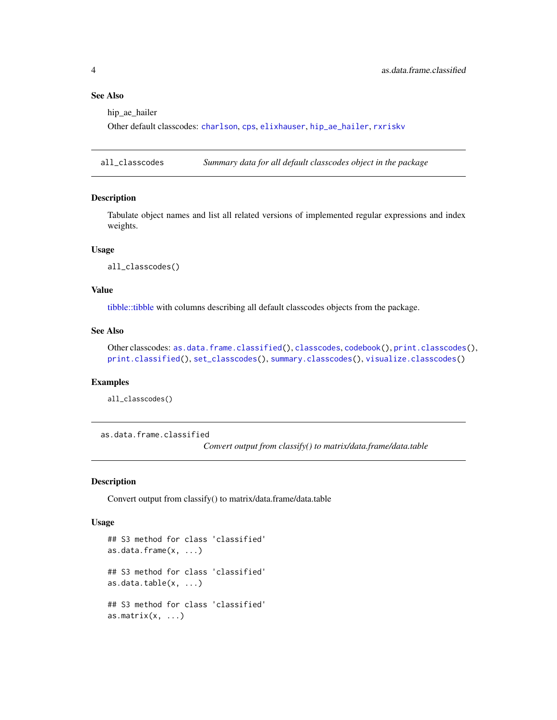# See Also

hip ae hailer

Other default classcodes: [charlson](#page-9-1), [cps](#page-20-1), [elixhauser](#page-21-1), [hip\\_ae\\_hailer](#page-24-1), [rxriskv](#page-28-1)

<span id="page-3-2"></span>all\_classcodes *Summary data for all default classcodes object in the package*

#### Description

Tabulate object names and list all related versions of implemented regular expressions and index weights.

#### Usage

all\_classcodes()

#### Value

[tibble::tibble](#page-0-0) with columns describing all default classcodes objects from the package.

# See Also

Other classcodes: [as.data.frame.classified\(](#page-3-1)), [classcodes](#page-10-1), [codebook\(](#page-15-1)), [print.classcodes\(](#page-26-1)), [print.classified\(](#page-27-1)), [set\\_classcodes\(](#page-29-1)), [summary.classcodes\(](#page-30-1)), [visualize.classcodes\(](#page-31-1))

#### Examples

all\_classcodes()

<span id="page-3-1"></span>as.data.frame.classified

*Convert output from classify() to matrix/data.frame/data.table*

#### <span id="page-3-3"></span>Description

Convert output from classify() to matrix/data.frame/data.table

#### Usage

```
## S3 method for class 'classified'
as.data.frame(x, ...)
## S3 method for class 'classified'
as.data.table(x, ...)
## S3 method for class 'classified'
as.matrix(x, \ldots)
```
<span id="page-3-0"></span>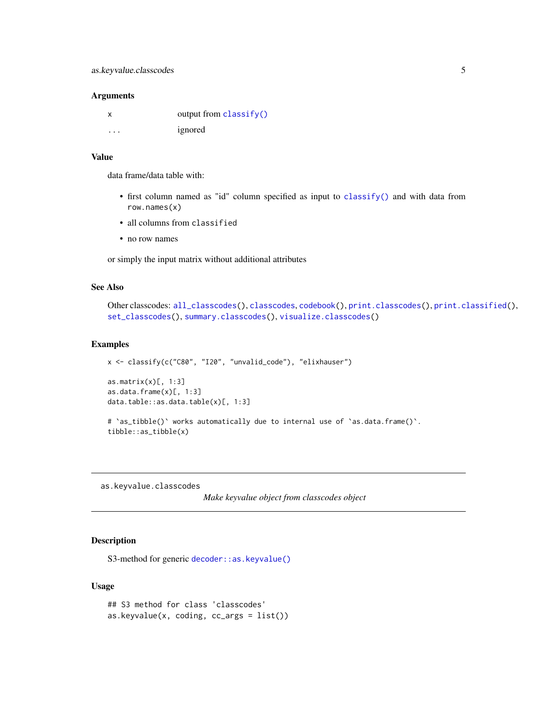#### <span id="page-4-0"></span>**Arguments**

|          | output from $\text{classify}()$ |
|----------|---------------------------------|
| $\cdots$ | ignored                         |

# Value

data frame/data table with:

- first column named as "id" column specified as input to [classify\(\)](#page-13-1) and with data from row.names(x)
- all columns from classified
- no row names

or simply the input matrix without additional attributes

#### See Also

```
Other classcodes: all_classcodes(), classcodes, codebook(), print.classcodes(), print.classified(),
set_classcodes(), summary.classcodes(), visualize.classcodes()
```
# Examples

```
x <- classify(c("C80", "I20", "unvalid_code"), "elixhauser")
as.matrix(x)[, 1:3]as.data.frame(x)[, 1:3]
data.table::as.data.table(x)[, 1:3]
# 'as_tibble()' works automatically due to internal use of 'as.data.frame()'.
```
as.keyvalue.classcodes

tibble::as\_tibble(x)

*Make keyvalue object from classcodes object*

# Description

S3-method for generic [decoder::as.keyvalue\(\)](#page-0-0)

# Usage

```
## S3 method for class 'classcodes'
as.keyvalue(x, coding, cc_{args} = list())
```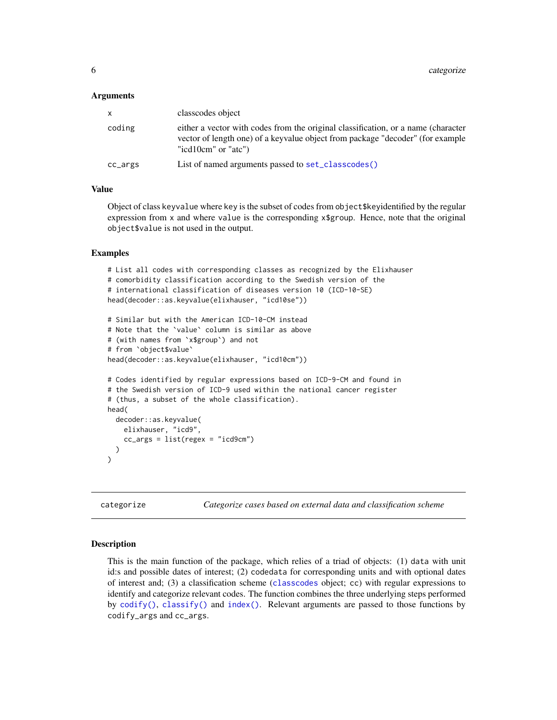#### <span id="page-5-0"></span>Arguments

| X       | classcodes object                                                                                                                                                                          |
|---------|--------------------------------------------------------------------------------------------------------------------------------------------------------------------------------------------|
| coding  | either a vector with codes from the original classification, or a name (character<br>vector of length one) of a keyvalue object from package "decoder" (for example<br>"icd10cm" or "atc") |
| cc_args | List of named arguments passed to set_classcodes()                                                                                                                                         |

#### Value

Object of class keyvalue where key is the subset of codes from object\$keyidentified by the regular expression from x and where value is the corresponding  $x\$ group. Hence, note that the original object\$value is not used in the output.

#### Examples

```
# List all codes with corresponding classes as recognized by the Elixhauser
# comorbidity classification according to the Swedish version of the
# international classification of diseases version 10 (ICD-10-SE)
head(decoder::as.keyvalue(elixhauser, "icd10se"))
# Similar but with the American ICD-10-CM instead
# Note that the `value` column is similar as above
# (with names from `x$group`) and not
# from `object$value`
head(decoder::as.keyvalue(elixhauser, "icd10cm"))
# Codes identified by regular expressions based on ICD-9-CM and found in
# the Swedish version of ICD-9 used within the national cancer register
# (thus, a subset of the whole classification).
head(
 decoder::as.keyvalue(
    elixhauser, "icd9",
    cc_{args} = list(regex = "icd9cm"))
\lambda
```
<span id="page-5-1"></span>categorize *Categorize cases based on external data and classification scheme*

#### Description

This is the main function of the package, which relies of a triad of objects: (1) data with unit id:s and possible dates of interest; (2) codedata for corresponding units and with optional dates of interest and; (3) a classification scheme ([classcodes](#page-10-1) object; cc) with regular expressions to identify and categorize relevant codes. The function combines the three underlying steps performed by  $\text{codify}()$ ,  $\text{classify}()$  and  $\text{index}()$ . Relevant arguments are passed to those functions by codify\_args and cc\_args.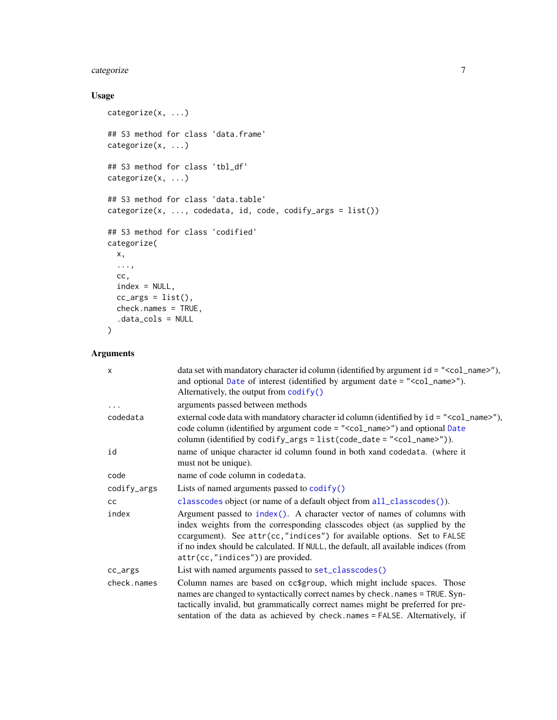# <span id="page-6-0"></span>categorize 7

# Usage

```
categorize(x, ...)
## S3 method for class 'data.frame'
categorize(x, ...)
## S3 method for class 'tbl_df'
categorize(x, ...)
## S3 method for class 'data.table'
categorical(x, ..., codedata, id, code, codify_{args} = list())## S3 method for class 'codified'
categorize(
  x,
  ...,
  cc,
  index = NULL,
  cc_{\text{args}} = \text{list}(),
  check.names = TRUE,
  .data_cols = NULL
)
```
# Arguments

| $\mathsf{x}$ | data set with mandatory character id column (identified by argument id = " <col_name>"),<br/>and optional Date of interest (identified by argument date = "<col_name>").<br/>Alternatively, the output from <math>\text{codify}()</math></col_name></col_name>                                                                                               |
|--------------|--------------------------------------------------------------------------------------------------------------------------------------------------------------------------------------------------------------------------------------------------------------------------------------------------------------------------------------------------------------|
|              | arguments passed between methods                                                                                                                                                                                                                                                                                                                             |
| codedata     | external code data with mandatory character id column (identified by $id = "$<br>code column (identified by argument code = " <col_name>") and optional Date<br/>column (identified by codify_args = <math>list(code_data = "ccol_name&gt;"))</math>.</col_name>                                                                                             |
| id           | name of unique character id column found in both xand codedata. (where it<br>must not be unique).                                                                                                                                                                                                                                                            |
| code         | name of code column in codedata.                                                                                                                                                                                                                                                                                                                             |
| codify_args  | Lists of named arguments passed to $\overline{\text{codify}}()$                                                                                                                                                                                                                                                                                              |
| cc           | classcodes object (or name of a default object from all_classcodes()).                                                                                                                                                                                                                                                                                       |
| index        | Argument passed to index(). A character vector of names of columns with<br>index weights from the corresponding classcodes object (as supplied by the<br>ccargument). See attr(cc,"indices") for available options. Set to FALSE<br>if no index should be calculated. If NULL, the default, all available indices (from<br>attr(cc,"indices")) are provided. |
| cc_args      | List with named arguments passed to set_classcodes()                                                                                                                                                                                                                                                                                                         |
| check.names  | Column names are based on cc\$group, which might include spaces. Those<br>names are changed to syntactically correct names by check.names = TRUE. Syn-<br>tactically invalid, but grammatically correct names might be preferred for pre-<br>sentation of the data as achieved by check.names = FALSE. Alternatively, if                                     |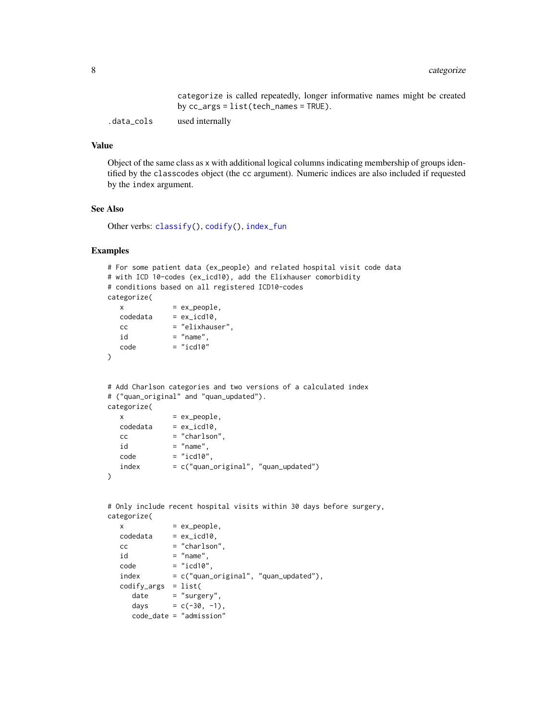categorize is called repeatedly, longer informative names might be created by cc\_args = list(tech\_names = TRUE).

<span id="page-7-0"></span>.data\_cols used internally

## Value

Object of the same class as x with additional logical columns indicating membership of groups identified by the classcodes object (the cc argument). Numeric indices are also included if requested by the index argument.

### See Also

Other verbs: [classify\(](#page-13-1)), [codify\(](#page-17-1)), [index\\_fun](#page-25-2)

```
# For some patient data (ex_people) and related hospital visit code data
# with ICD 10-codes (ex_icd10), add the Elixhauser comorbidity
# conditions based on all registered ICD10-codes
categorize(
  x = ex\_people,codedata = ex\_icd10,
  cc = "elixhauser",
  id = "name",code = "icd10")
# Add Charlson categories and two versions of a calculated index
# ("quan_original" and "quan_updated").
categorize(
  x = ex\_people,codedata = ex\_icd10,cc = "charlson",id = "name",code = "icd10"index = c("quan_original", "quan_updated")
\mathcal{L}# Only include recent hospital visits within 30 days before surgery,
```

```
categorize(
  x = ex\_people,codedata = ex\_icd10,cc = "charlson"id = "name",code = "icd10"index = c("quan_original", "quan_updated"),
  codify_args = list(
    date = "surgery",
    days = c(-30, -1),
    code_date = "admission"
```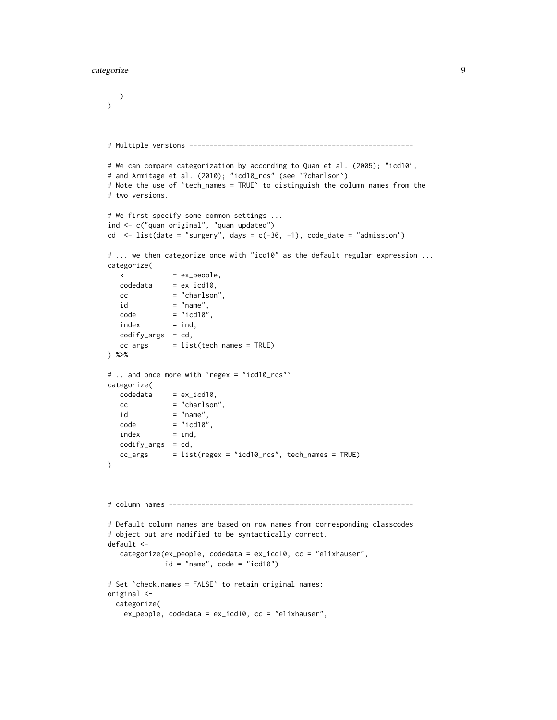#### categorize 9

)

```
\mathcal{L}# Multiple versions -------------------------------------------------------
# We can compare categorization by according to Quan et al. (2005); "icd10",
# and Armitage et al. (2010); "icd10_rcs" (see `?charlson`)
# Note the use of `tech_names = TRUE` to distinguish the column names from the
# two versions.
# We first specify some common settings ...
ind <- c("quan_original", "quan_updated")
cd \le list(date = "surgery", days = c(-30, -1), code_date = "admission")
# ... we then categorize once with "icd10" as the default regular expression ...
categorize(
  x = ex\_people,codedata = ex\_icd10,cc = "charlson",id = "name",code = "icd10",index = ind,codify_{args} = cd,cc_{\text{args}} = list(tech_names = TRUE)
) %>%
# .. and once more with `regex = "icd10_rcs"`
categorize(
  codedata = ex\_icd10,cc = "charlson",id = "name",
  code = "icd10",index = ind,codify_args = cd,
  cc_{\text{args}} = list(regex = "icd10_rcs", tech_names = TRUE)
\mathcal{L}# column names ------------------------------------------------------------
# Default column names are based on row names from corresponding classcodes
# object but are modified to be syntactically correct.
default <-
  categorize(ex_people, codedata = ex_icd10, cc = "elixhauser",
             id = "name", code = "icd10")# Set `check.names = FALSE` to retain original names:
original <-
 categorize(
   ex_people, codedata = ex_icd10, cc = "elixhauser",
```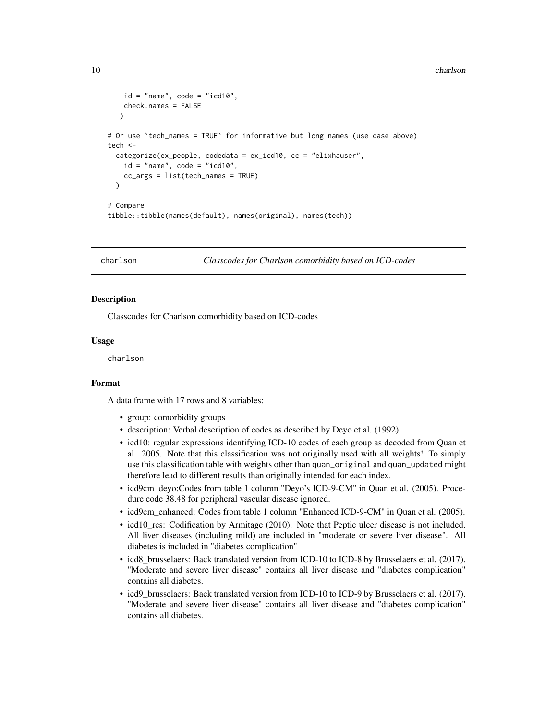#### <span id="page-9-0"></span>10 charlson charles a control of the charlson charlson charlson charlson charlson

```
id = "name", code = "icd10",check.names = FALSE
  )
# Or use `tech_names = TRUE` for informative but long names (use case above)
tech <-
 categorize(ex_people, codedata = ex_icd10, cc = "elixhauser",
    id = "name", code = "icd10",cc_args = list(tech_names = TRUE)
 \lambda# Compare
tibble::tibble(names(default), names(original), names(tech))
```

```
charlson Classcodes for Charlson comorbidity based on ICD-codes
```
#### Description

Classcodes for Charlson comorbidity based on ICD-codes

#### Usage

charlson

#### Format

A data frame with 17 rows and 8 variables:

- group: comorbidity groups
- description: Verbal description of codes as described by Deyo et al. (1992).
- icd10: regular expressions identifying ICD-10 codes of each group as decoded from Quan et al. 2005. Note that this classification was not originally used with all weights! To simply use this classification table with weights other than quan\_original and quan\_updated might therefore lead to different results than originally intended for each index.
- icd9cm\_deyo:Codes from table 1 column "Deyo's ICD-9-CM" in Quan et al. (2005). Procedure code 38.48 for peripheral vascular disease ignored.
- icd9cm\_enhanced: Codes from table 1 column "Enhanced ICD-9-CM" in Quan et al. (2005).
- icd10\_rcs: Codification by Armitage (2010). Note that Peptic ulcer disease is not included. All liver diseases (including mild) are included in "moderate or severe liver disease". All diabetes is included in "diabetes complication"
- icd8\_brusselaers: Back translated version from ICD-10 to ICD-8 by Brusselaers et al. (2017). "Moderate and severe liver disease" contains all liver disease and "diabetes complication" contains all diabetes.
- icd9\_brusselaers: Back translated version from ICD-10 to ICD-9 by Brusselaers et al. (2017). "Moderate and severe liver disease" contains all liver disease and "diabetes complication" contains all diabetes.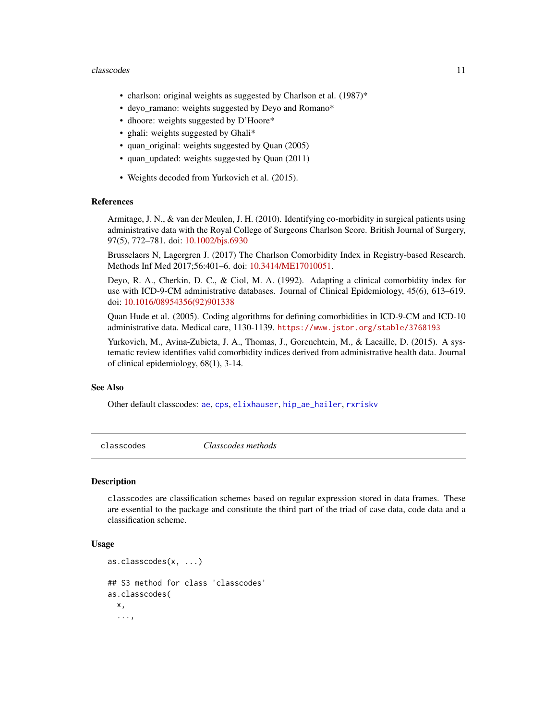#### <span id="page-10-0"></span>classcodes and the class of the class of the class of the class of the class of the class of the class of the class of the class of the class of the class of the class of the class of the class of the class of the class of

- charlson: original weights as suggested by Charlson et al. (1987)\*
- deyo ramano: weights suggested by Deyo and Romano\*
- dhoore: weights suggested by D'Hoore\*
- ghali: weights suggested by Ghali\*
- quan\_original: weights suggested by Quan (2005)
- quan\_updated: weights suggested by Quan (2011)
- Weights decoded from Yurkovich et al. (2015).

#### References

Armitage, J. N., & van der Meulen, J. H. (2010). Identifying co-morbidity in surgical patients using administrative data with the Royal College of Surgeons Charlson Score. British Journal of Surgery, 97(5), 772–781. doi: [10.1002/bjs.6930](https://doi.org/10.1002/bjs.6930)

Brusselaers N, Lagergren J. (2017) The Charlson Comorbidity Index in Registry-based Research. Methods Inf Med 2017;56:401–6. doi: [10.3414/ME17010051.](https://doi.org/10.3414/ME17-01-0051)

Deyo, R. A., Cherkin, D. C., & Ciol, M. A. (1992). Adapting a clinical comorbidity index for use with ICD-9-CM administrative databases. Journal of Clinical Epidemiology, 45(6), 613–619. doi: [10.1016/08954356\(92\)901338](https://doi.org/10.1016/0895-4356(92)90133-8)

Quan Hude et al. (2005). Coding algorithms for defining comorbidities in ICD-9-CM and ICD-10 administrative data. Medical care, 1130-1139. <https://www.jstor.org/stable/3768193>

Yurkovich, M., Avina-Zubieta, J. A., Thomas, J., Gorenchtein, M., & Lacaille, D. (2015). A systematic review identifies valid comorbidity indices derived from administrative health data. Journal of clinical epidemiology, 68(1), 3-14.

#### See Also

Other default classcodes: [ae](#page-1-1), [cps](#page-20-1), [elixhauser](#page-21-1), [hip\\_ae\\_hailer](#page-24-1), [rxriskv](#page-28-1)

<span id="page-10-1"></span>classcodes *Classcodes methods*

#### Description

classcodes are classification schemes based on regular expression stored in data frames. These are essential to the package and constitute the third part of the triad of case data, code data and a classification scheme.

#### Usage

```
as.classcodes(x, ...)
## S3 method for class 'classcodes'
as.classcodes(
  x,
  ...,
```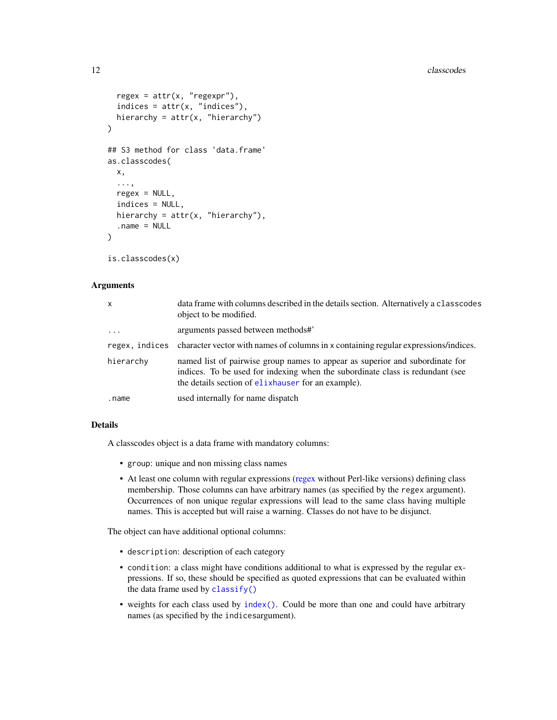```
regex = attr(x, "regexpr"),indices = attr(x, "indices"),hierarchy = attr(x, "hierarchy")\lambda## S3 method for class 'data.frame'
as.classcodes(
 x,
  ...,
 regex = NULL,
  indices = NULL,
 hierarchy = attr(x, "hierarchy"),.name = NULL
)
```

```
is.classcodes(x)
```
# Arguments

| $\mathsf{x}$        | data frame with columns described in the details section. Alternatively a classcodes<br>object to be modified.                                                                                                          |
|---------------------|-------------------------------------------------------------------------------------------------------------------------------------------------------------------------------------------------------------------------|
| $\cdot \cdot \cdot$ | arguments passed between methods#                                                                                                                                                                                       |
|                     | regex, indices character vector with names of columns in x containing regular expressions/indices.                                                                                                                      |
| hierarchy           | named list of pairwise group names to appear as superior and subordinate for<br>indices. To be used for indexing when the subordinate class is redundant (see<br>the details section of elast and state of an example). |
| .name               | used internally for name dispatch                                                                                                                                                                                       |

# Details

A classcodes object is a data frame with mandatory columns:

- group: unique and non missing class names
- At least one column with regular expressions [\(regex](#page-0-0) without Perl-like versions) defining class membership. Those columns can have arbitrary names (as specified by the regex argument). Occurrences of non unique regular expressions will lead to the same class having multiple names. This is accepted but will raise a warning. Classes do not have to be disjunct.

The object can have additional optional columns:

- description: description of each category
- condition: a class might have conditions additional to what is expressed by the regular expressions. If so, these should be specified as quoted expressions that can be evaluated within the data frame used by [classify\(\)](#page-13-1)
- weights for each class used by [index\(\)](#page-25-1). Could be more than one and could have arbitrary names (as specified by the indicesargument).

<span id="page-11-0"></span>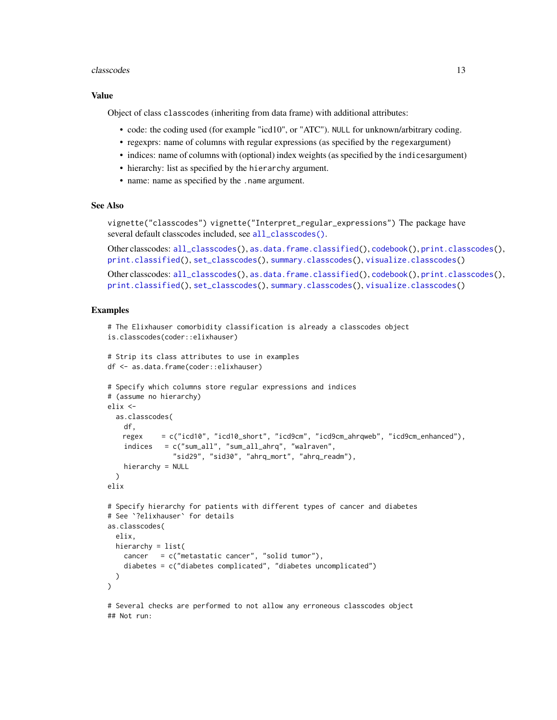#### <span id="page-12-0"></span>classcodes and the class of the contract of the class of the contract of the class of the class of the contract of the contract of the contract of the contract of the contract of the contract of the contract of the contrac

#### Value

Object of class classcodes (inheriting from data frame) with additional attributes:

- code: the coding used (for example "icd10", or "ATC"). NULL for unknown/arbitrary coding.
- regexprs: name of columns with regular expressions (as specified by the regexargument)
- indices: name of columns with (optional) index weights (as specified by the indicesargument)
- hierarchy: list as specified by the hierarchy argument.
- name: name as specified by the .name argument.

#### See Also

vignette("classcodes") vignette("Interpret\_regular\_expressions") The package have several default classcodes included, see [all\\_classcodes\(\)](#page-3-2).

```
Other classcodes: all_classcodes(), as.data.frame.classified(), codebook(), print.classcodes(),
print.classified(), set_classcodes(), summary.classcodes(), visualize.classcodes()
```

```
Other classcodes: all_classcodes(), as.data.frame.classified(), codebook(), print.classcodes(),
print.classified(), set_classcodes(), summary.classcodes(), visualize.classcodes()
```
#### Examples

```
# The Elixhauser comorbidity classification is already a classcodes object
is.classcodes(coder::elixhauser)
# Strip its class attributes to use in examples
df <- as.data.frame(coder::elixhauser)
# Specify which columns store regular expressions and indices
# (assume no hierarchy)
elix <-
  as.classcodes(
   df,
   regex = c("icd10", "icd10_short", "icd9cm", "icd9cm_ahrqweb", "icd9cm_enhanced"),
    indices = c("sum_all", "sum_all_ahrq", "walraven",
                "sid29", "sid30", "ahrq_mort", "ahrq_readm"),
   hierarchy = NULL
  )
elix
# Specify hierarchy for patients with different types of cancer and diabetes
# See `?elixhauser` for details
as.classcodes(
  elix,
  hierarchy = list(
    cancer = c("metastatic cancer", "solid tumor"),
    diabetes = c("diabetes complicated", "diabetes uncomplicated")
  )
)
```
# Several checks are performed to not allow any erroneous classcodes object ## Not run: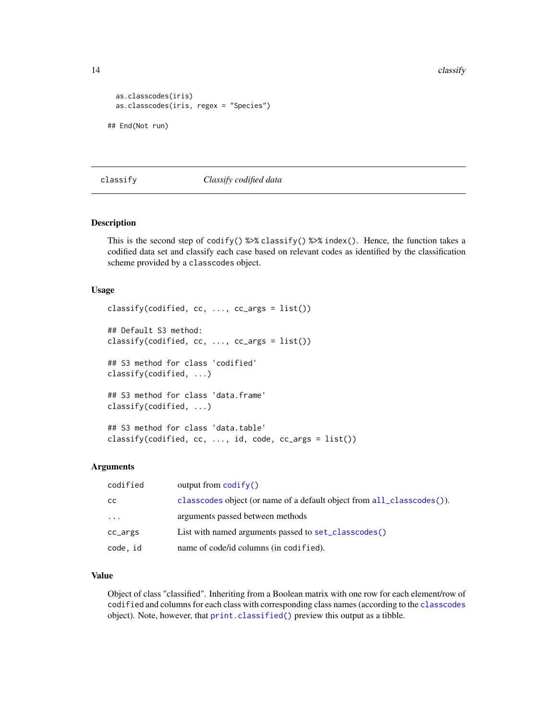14 classify classify containing the contact of the classify contact of the classify contact of the contact of the contact of the contact of the contact of the contact of the contact of the contact of the contact of the con

```
as.classcodes(iris)
 as.classcodes(iris, regex = "Species")
## End(Not run)
```
#### <span id="page-13-1"></span>classify *Classify codified data*

# Description

This is the second step of codify()  $\gg$  classify()  $\gg$  index(). Hence, the function takes a codified data set and classify each case based on relevant codes as identified by the classification scheme provided by a classcodes object.

#### Usage

```
classify(codified, cc, \ldots, cc_args = list())
## Default S3 method:
classify(codified, cc, ..., cc_args = list())
## S3 method for class 'codified'
classify(codified, ...)
## S3 method for class 'data.frame'
classify(codified, ...)
## S3 method for class 'data.table'
classify(codified, cc, ..., id, code, cc_args = list())
```
#### Arguments

| codified  | output from $\text{codify}()$                                          |
|-----------|------------------------------------------------------------------------|
| CC.       | classcodes object (or name of a default object from all_classcodes()). |
| $\ddotsc$ | arguments passed between methods                                       |
| cc_args   | List with named arguments passed to set_classcodes()                   |
| code, id  | name of code/id columns (in codified).                                 |

#### Value

Object of class "classified". Inheriting from a Boolean matrix with one row for each element/row of codified and columns for each class with corresponding class names (according to the [classcodes](#page-10-1) object). Note, however, that [print.classified\(\)](#page-27-1) preview this output as a tibble.

<span id="page-13-0"></span>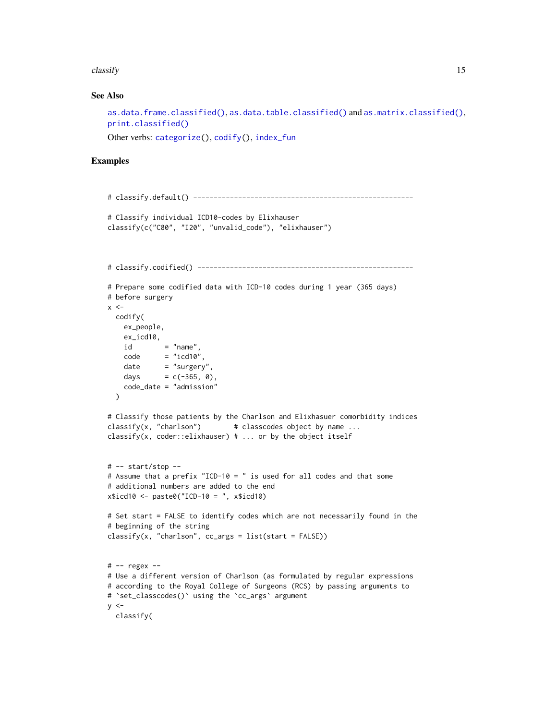<span id="page-14-0"></span>classify the contract of the contract of the contract of the contract of the contract of the contract of the contract of the contract of the contract of the contract of the contract of the contract of the contract of the c

#### See Also

```
as.data.frame.classified(), as.data.table.classified() and as.matrix.classified(),
print.classified()
```
Other verbs: [categorize\(](#page-5-1)), [codify\(](#page-17-1)), [index\\_fun](#page-25-2)

```
# classify.default() ------------------------------------------------------
# Classify individual ICD10-codes by Elixhauser
classify(c("C80", "I20", "unvalid_code"), "elixhauser")
# classify.codified() -----------------------------------------------------
# Prepare some codified data with ICD-10 codes during 1 year (365 days)
# before surgery
x < -codify(
   ex_people,
   ex_icd10,
   id = "name",
   code = "icd10",date = "surgery",days = c(-365, 0),
   code_date = "admission"
  \lambda# Classify those patients by the Charlson and Elixhasuer comorbidity indices
\text{classify}(x, "charlson") # classcodes object by name ...
classify(x, coder::elixhauser) # ... or by the object itself
# -- start/stop --
# Assume that a prefix "ICD-10 = " is used for all codes and that some
# additional numbers are added to the end
x$icd10 < - paste0("ICD-10 = ", x$icd10)
# Set start = FALSE to identify codes which are not necessarily found in the
# beginning of the string
classify(x, "charlson", cc_args = list(start = FALSE))
# -- regex --
# Use a different version of Charlson (as formulated by regular expressions
# according to the Royal College of Surgeons (RCS) by passing arguments to
# `set_classcodes()` using the `cc_args` argument
y \le -classify(
```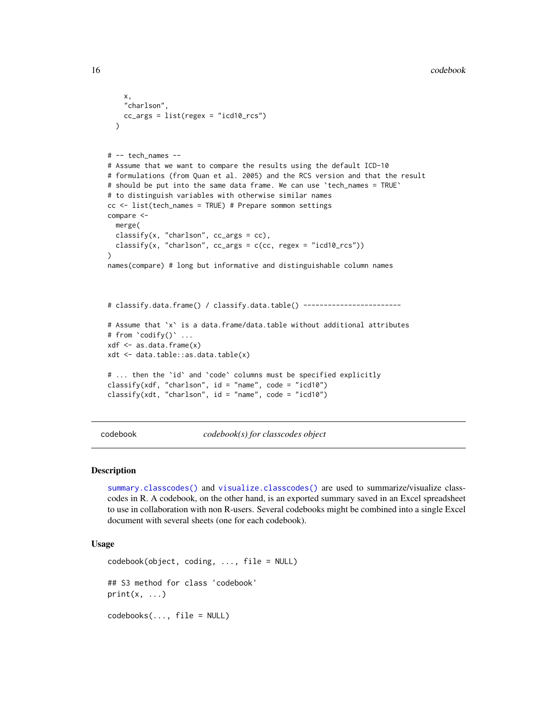```
x,
    "charlson",
   cc_{args} = list(regex = "icd10_rcs")\lambda# -- tech_names --
# Assume that we want to compare the results using the default ICD-10
# formulations (from Quan et al. 2005) and the RCS version and that the result
# should be put into the same data frame. We can use `tech_names = TRUE`
# to distinguish variables with otherwise similar names
cc <- list(tech_names = TRUE) # Prepare sommon settings
compare <-
 merge(
 classify(x, "charlson", cc_args = cc),
 \text{classify}(x, \text{ "charlson", cc_{args} = c(cc, regex = "icd10_rcs")))
names(compare) # long but informative and distinguishable column names
# classify.data.frame() / classify.data.table() ------------------------
# Assume that `x` is a data.frame/data.table without additional attributes
# from `codify()` ...
xdf <- as.data.frame(x)
xdt <- data.table::as.data.table(x)
# ... then the `id` and `code` columns must be specified explicitly
classify(xdf, "charlson", id = "name", code = "icd10")
classify(xdt, "charlson", id = "name", code = "icd10")
```
<span id="page-15-1"></span>codebook *codebook(s) for classcodes object*

#### Description

[summary.classcodes\(\)](#page-30-1) and [visualize.classcodes\(\)](#page-31-1) are used to summarize/visualize classcodes in R. A codebook, on the other hand, is an exported summary saved in an Excel spreadsheet to use in collaboration with non R-users. Several codebooks might be combined into a single Excel document with several sheets (one for each codebook).

# Usage

```
codebook(object, coding, ..., file = NULL)
## S3 method for class 'codebook'
print(x, \ldots)codebooks(..., file = NULL)
```
<span id="page-15-0"></span>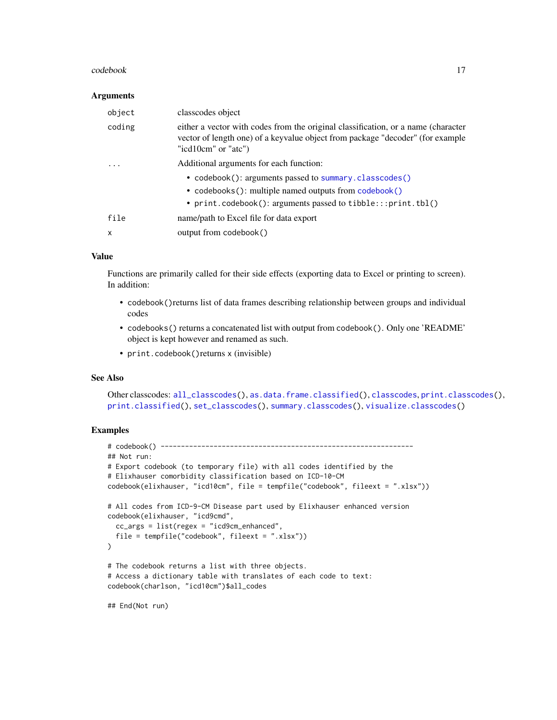#### <span id="page-16-0"></span>codebook and the contract of the contract of the contract of the contract of the contract of the contract of the contract of the contract of the contract of the contract of the contract of the contract of the contract of t

#### **Arguments**

| object                  | classcodes object                                                                                                                                                                          |
|-------------------------|--------------------------------------------------------------------------------------------------------------------------------------------------------------------------------------------|
| coding                  | either a vector with codes from the original classification, or a name (character<br>vector of length one) of a keyvalue object from package "decoder" (for example<br>"icd10cm" or "atc") |
| $\cdot$ $\cdot$ $\cdot$ | Additional arguments for each function:                                                                                                                                                    |
|                         | • codebook(): arguments passed to summary.classcodes()<br>• codebooks(): multiple named outputs from codebook()<br>• print.codebook(): arguments passed to tibble:::print.tbl()            |
| file                    | name/path to Excel file for data export                                                                                                                                                    |
| x                       | output from codebook()                                                                                                                                                                     |

#### Value

Functions are primarily called for their side effects (exporting data to Excel or printing to screen). In addition:

- codebook()returns list of data frames describing relationship between groups and individual codes
- codebooks() returns a concatenated list with output from codebook(). Only one 'README' object is kept however and renamed as such.
- print.codebook()returns x (invisible)

#### See Also

Other classcodes: [all\\_classcodes\(](#page-3-2)), [as.data.frame.classified\(](#page-3-1)), [classcodes](#page-10-1), [print.classcodes\(](#page-26-1)), [print.classified\(](#page-27-1)), [set\\_classcodes\(](#page-29-1)), [summary.classcodes\(](#page-30-1)), [visualize.classcodes\(](#page-31-1))

```
# codebook() --------------------------------------------------------------
## Not run:
# Export codebook (to temporary file) with all codes identified by the
# Elixhauser comorbidity classification based on ICD-10-CM
codebook(elixhauser, "icd10cm", file = tempfile("codebook", fileext = ".xlsx"))
# All codes from ICD-9-CM Disease part used by Elixhauser enhanced version
codebook(elixhauser, "icd9cmd",
 cc_args = list(regex = "icd9cm_enhanced",
 file = tempfile("codebook", fileext = ".xlsx"))
\lambda# The codebook returns a list with three objects.
# Access a dictionary table with translates of each code to text:
codebook(charlson, "icd10cm")$all_codes
```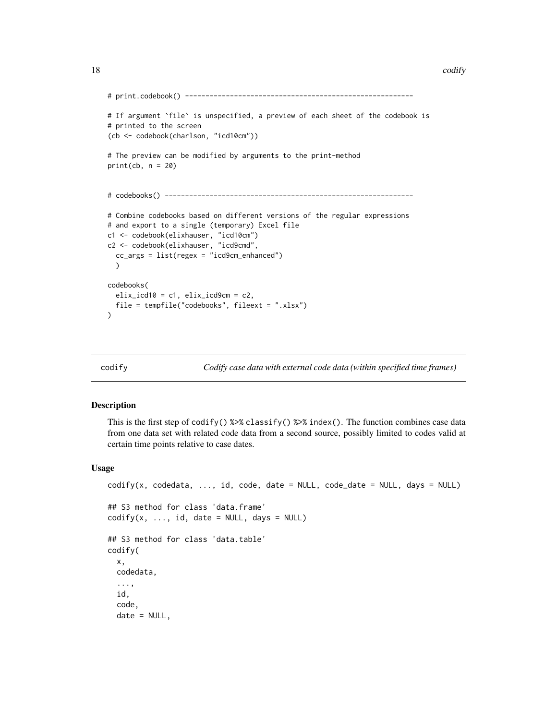#### <span id="page-17-0"></span>18 codify a set of the codify of the codify codify and the codify codify codify  $\sim$  codify  $\sim$

```
# print.codebook() --------------------------------------------------------
# If argument `file` is unspecified, a preview of each sheet of the codebook is
# printed to the screen
(cb <- codebook(charlson, "icd10cm"))
# The preview can be modified by arguments to the print-method
print(cb, n = 20)# codebooks() -------------------------------------------------------------
# Combine codebooks based on different versions of the regular expressions
# and export to a single (temporary) Excel file
c1 <- codebook(elixhauser, "icd10cm")
c2 <- codebook(elixhauser, "icd9cmd",
 cc_args = list(regex = "icd9cm_enhanced")
 )
codebooks(
 elix\_icd10 = c1, elix\_icd9cm = c2,
 file = tempfile("codebooks", fileext = ".xlsx")
)
```
<span id="page-17-1"></span>

codify *Codify case data with external code data (within specified time frames)*

### **Description**

This is the first step of  $\text{codify}()$  %>% classify() %>% index(). The function combines case data from one data set with related code data from a second source, possibly limited to codes valid at certain time points relative to case dates.

#### Usage

```
\text{codify}(x, \text{ codedata}, \ldots, \text{id}, \text{code}, \text{date} = \text{NULL}, \text{code}_\text{date} = \text{NULL}, \text{days} = \text{NULL}## S3 method for class 'data.frame'
\text{codify}(x, \ldots, \text{id}, \text{date} = \text{NULL}, \text{days} = \text{NULL})## S3 method for class 'data.table'
codify(
   x,
   codedata,
   ...,
   id,
   code,
   date = NULL,
```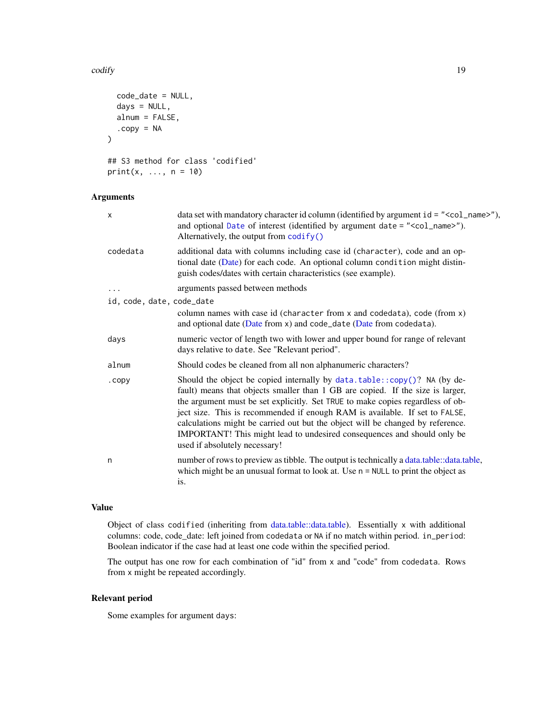#### <span id="page-18-0"></span>codify the control of the control of the control of the control of the control of the control of the control of the control of the control of the control of the control of the control of the control of the control of the c

```
code_date = NULL,
  days = NULL,
  alnum = FALSE,
  copy = NA\mathcal{L}## S3 method for class 'codified'
print(x, ..., n = 10)
```
# Arguments

| X                         | data set with mandatory character id column (identified by argument $id = " < col_name > ")$ ),<br>and optional Date of interest (identified by argument date = " <col_name>").<br/>Alternatively, the output from codify()</col_name>                                                                                                                                                                                                                                                                                       |
|---------------------------|------------------------------------------------------------------------------------------------------------------------------------------------------------------------------------------------------------------------------------------------------------------------------------------------------------------------------------------------------------------------------------------------------------------------------------------------------------------------------------------------------------------------------|
| codedata                  | additional data with columns including case id (character), code and an op-<br>tional date (Date) for each code. An optional column condition might distin-<br>guish codes/dates with certain characteristics (see example).                                                                                                                                                                                                                                                                                                 |
| .                         | arguments passed between methods                                                                                                                                                                                                                                                                                                                                                                                                                                                                                             |
| id, code, date, code_date |                                                                                                                                                                                                                                                                                                                                                                                                                                                                                                                              |
|                           | column names with case id (character from x and codedata), code (from x)<br>and optional date (Date from x) and code_date (Date from codedata).                                                                                                                                                                                                                                                                                                                                                                              |
| days                      | numeric vector of length two with lower and upper bound for range of relevant<br>days relative to date. See "Relevant period".                                                                                                                                                                                                                                                                                                                                                                                               |
| alnum                     | Should codes be cleaned from all non alphanumeric characters?                                                                                                                                                                                                                                                                                                                                                                                                                                                                |
| .copy                     | Should the object be copied internally by $data.table::copy()$ ? NA (by de-<br>fault) means that objects smaller than 1 GB are copied. If the size is larger,<br>the argument must be set explicitly. Set TRUE to make copies regardless of ob-<br>ject size. This is recommended if enough RAM is available. If set to FALSE,<br>calculations might be carried out but the object will be changed by reference.<br>IMPORTANT! This might lead to undesired consequences and should only be<br>used if absolutely necessary! |
| n                         | number of rows to preview as tibble. The output is technically a data.table::data.table,<br>which might be an unusual format to look at. Use $n = \text{NULL}$ to print the object as<br>is.                                                                                                                                                                                                                                                                                                                                 |

# Value

Object of class codified (inheriting from [data.table::data.table\)](#page-0-0). Essentially x with additional columns: code, code\_date: left joined from codedata or NA if no match within period. in\_period: Boolean indicator if the case had at least one code within the specified period.

The output has one row for each combination of "id" from x and "code" from codedata. Rows from x might be repeated accordingly.

# Relevant period

Some examples for argument days: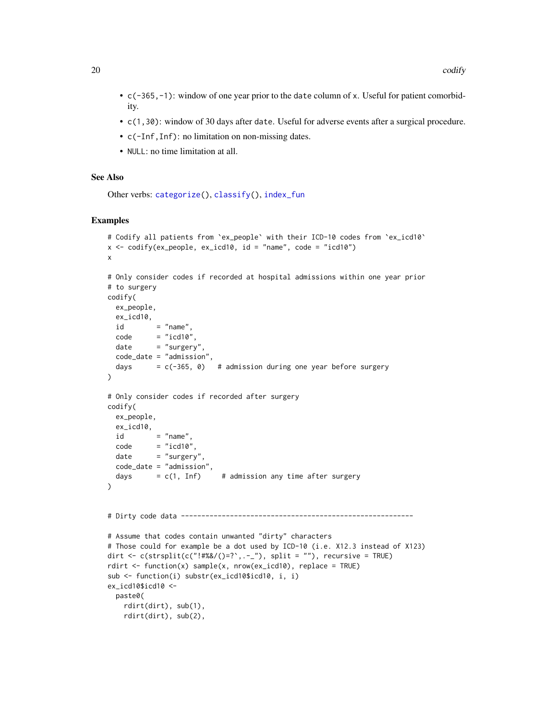- <span id="page-19-0"></span>• c(-365,-1): window of one year prior to the date column of x. Useful for patient comorbidity.
- c(1,30): window of 30 days after date. Useful for adverse events after a surgical procedure.
- c(-Inf,Inf): no limitation on non-missing dates.
- NULL: no time limitation at all.

## See Also

```
Other verbs: categorize(), classify(), index_fun
```

```
# Codify all patients from `ex_people` with their ICD-10 codes from `ex_icd10`
x \le -\text{codify}(ex\_people, ex\_icd10, id = "name", code = "icd10")x
# Only consider codes if recorded at hospital admissions within one year prior
# to surgery
codify(
 ex_people,
 ex_icd10,
 id = "name".
 code = "icd10".date = "surgery"
 code_date = "admission",
 days = c(-365, 0) # admission during one year before surgery
\lambda# Only consider codes if recorded after surgery
codify(
 ex_people,
 ex_icd10,
 id = "name",code = "icd10",date = "surgery",code_date = "admission",
 days = c(1, Inf) # admission any time after surgery
)
# Dirty code data ---------------------------------------------------------
# Assume that codes contain unwanted "dirty" characters
# Those could for example be a dot used by ICD-10 (i.e. X12.3 instead of X123)
dirt <- c(strsplit(c("!#%&/()=?`,.-_"), split = ""), recursive = TRUE)
rdirt <- function(x) sample(x, nrow(ex_icd10), replace = TRUE)
sub <- function(i) substr(ex_icd10$icd10, i, i)
ex_icd10$icd10 <-
 paste0(
   rdirt(dirt), sub(1),
   rdirt(dirt), sub(2),
```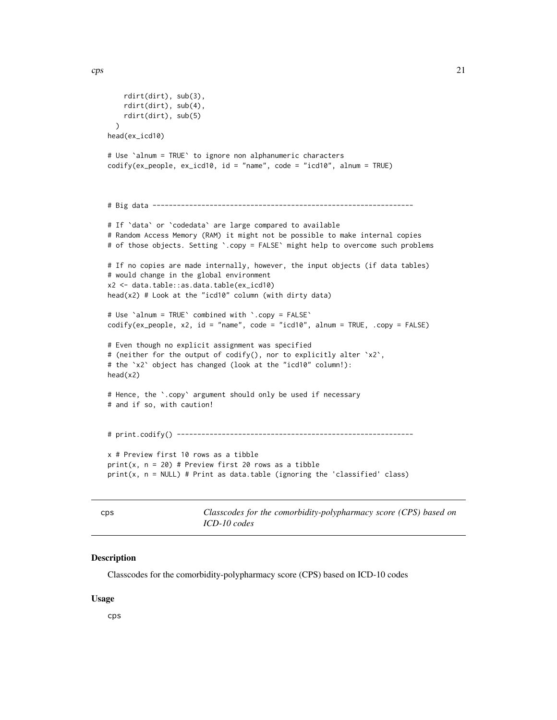```
rdirt(dirt), sub(3),
    rdirt(dirt), sub(4),
    rdirt(dirt), sub(5)
  \lambdahead(ex_icd10)
# Use `alnum = TRUE` to ignore non alphanumeric characters
codify(ex_people, ex_icd10, id = "name", code = "icd10", alnum = TRUE)
# Big data ----------------------------------------------------------------
# If `data` or `codedata` are large compared to available
# Random Access Memory (RAM) it might not be possible to make internal copies
# of those objects. Setting `.copy = FALSE` might help to overcome such problems
# If no copies are made internally, however, the input objects (if data tables)
# would change in the global environment
x2 <- data.table::as.data.table(ex_icd10)
head(x2) # Look at the "icd10" column (with dirty data)
# Use `alnum = TRUE` combined with `.copy = FALSE`
codify(ex_people, x2, id = "name", code = "icd10", alnum = TRUE, .copy = FALSE)
# Even though no explicit assignment was specified
# (neither for the output of codify(), nor to explicitly alter `x2`,
# the `x2` object has changed (look at the "icd10" column!):
head(x2)
# Hence, the `.copy` argument should only be used if necessary
# and if so, with caution!
# print.codify() ----------------------------------------------------------
x # Preview first 10 rows as a tibble
print(x, n = 20) # Preview first 20 rows as a tibble
print(x, n = NULL) # Print as data.table (ignoring the 'classified' class)
```
<span id="page-20-1"></span>cps *Classcodes for the comorbidity-polypharmacy score (CPS) based on ICD-10 codes*

# Description

Classcodes for the comorbidity-polypharmacy score (CPS) based on ICD-10 codes

#### Usage

cps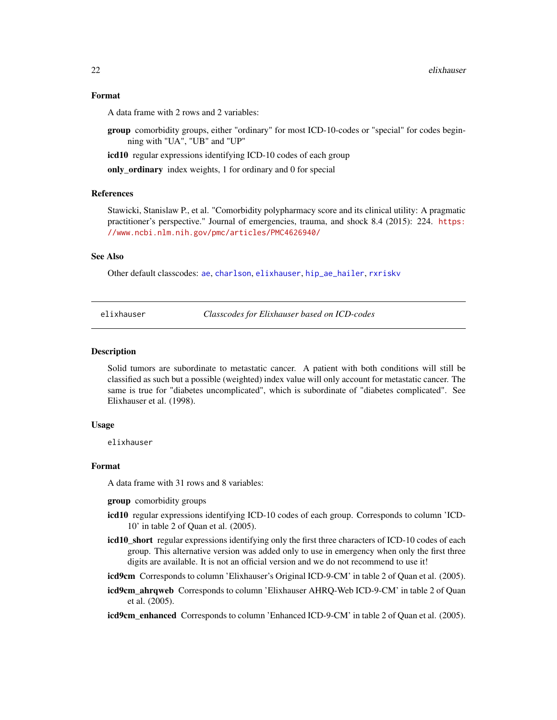#### <span id="page-21-0"></span>Format

A data frame with 2 rows and 2 variables:

group comorbidity groups, either "ordinary" for most ICD-10-codes or "special" for codes beginning with "UA", "UB" and "UP"

icd10 regular expressions identifying ICD-10 codes of each group

only\_ordinary index weights, 1 for ordinary and 0 for special

#### References

Stawicki, Stanislaw P., et al. "Comorbidity polypharmacy score and its clinical utility: A pragmatic practitioner's perspective." Journal of emergencies, trauma, and shock 8.4 (2015): 224. [https:](https://www.ncbi.nlm.nih.gov/pmc/articles/PMC4626940/) [//www.ncbi.nlm.nih.gov/pmc/articles/PMC4626940/](https://www.ncbi.nlm.nih.gov/pmc/articles/PMC4626940/)

#### See Also

Other default classcodes: [ae](#page-1-1), [charlson](#page-9-1), [elixhauser](#page-21-1), [hip\\_ae\\_hailer](#page-24-1), [rxriskv](#page-28-1)

<span id="page-21-1"></span>elixhauser *Classcodes for Elixhauser based on ICD-codes*

#### Description

Solid tumors are subordinate to metastatic cancer. A patient with both conditions will still be classified as such but a possible (weighted) index value will only account for metastatic cancer. The same is true for "diabetes uncomplicated", which is subordinate of "diabetes complicated". See Elixhauser et al. (1998).

#### Usage

elixhauser

#### Format

A data frame with 31 rows and 8 variables:

**group** comorbidity groups

- icd10 regular expressions identifying ICD-10 codes of each group. Corresponds to column 'ICD-10' in table 2 of Quan et al. (2005).
- icd10\_short regular expressions identifying only the first three characters of ICD-10 codes of each group. This alternative version was added only to use in emergency when only the first three digits are available. It is not an official version and we do not recommend to use it!
- icd9cm Corresponds to column 'Elixhauser's Original ICD-9-CM' in table 2 of Quan et al. (2005).
- icd9cm\_ahrqweb Corresponds to column 'Elixhauser AHRQ-Web ICD-9-CM' in table 2 of Quan et al. (2005).
- icd9cm\_enhanced Corresponds to column 'Enhanced ICD-9-CM' in table 2 of Quan et al. (2005).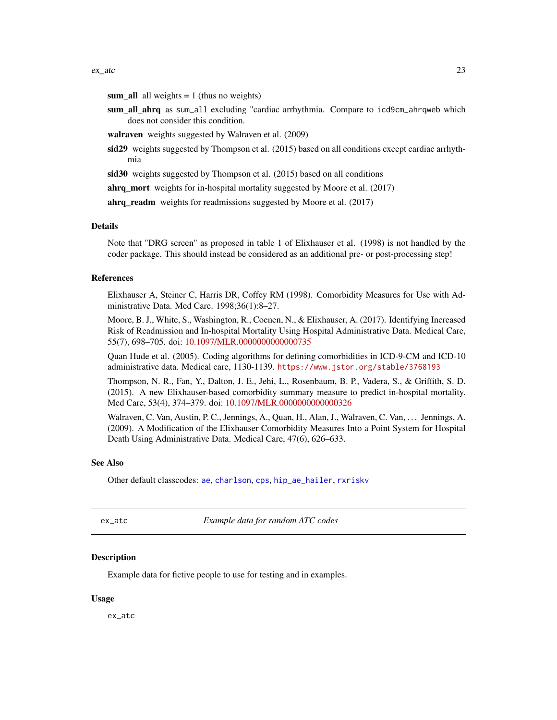<span id="page-22-0"></span>sum\_all all weights  $= 1$  (thus no weights)

sum\_all\_ahrq as sum\_all excluding "cardiac arrhythmia. Compare to icd9cm\_ahrqweb which does not consider this condition.

walraven weights suggested by Walraven et al. (2009)

- sid29 weights suggested by Thompson et al. (2015) based on all conditions except cardiac arrhythmia
- sid30 weights suggested by Thompson et al. (2015) based on all conditions

ahrq\_mort weights for in-hospital mortality suggested by Moore et al. (2017)

ahrq\_readm weights for readmissions suggested by Moore et al. (2017)

#### Details

Note that "DRG screen" as proposed in table 1 of Elixhauser et al. (1998) is not handled by the coder package. This should instead be considered as an additional pre- or post-processing step!

#### References

Elixhauser A, Steiner C, Harris DR, Coffey RM (1998). Comorbidity Measures for Use with Administrative Data. Med Care. 1998;36(1):8–27.

Moore, B. J., White, S., Washington, R., Coenen, N., & Elixhauser, A. (2017). Identifying Increased Risk of Readmission and In-hospital Mortality Using Hospital Administrative Data. Medical Care, 55(7), 698–705. doi: [10.1097/MLR.0000000000000735](https://doi.org/10.1097/MLR.0000000000000735)

Quan Hude et al. (2005). Coding algorithms for defining comorbidities in ICD-9-CM and ICD-10 administrative data. Medical care, 1130-1139. <https://www.jstor.org/stable/3768193>

Thompson, N. R., Fan, Y., Dalton, J. E., Jehi, L., Rosenbaum, B. P., Vadera, S., & Griffith, S. D. (2015). A new Elixhauser-based comorbidity summary measure to predict in-hospital mortality. Med Care, 53(4), 374–379. doi: [10.1097/MLR.0000000000000326](https://doi.org/10.1097/MLR.0000000000000326)

Walraven, C. Van, Austin, P. C., Jennings, A., Quan, H., Alan, J., Walraven, C. Van, . . . Jennings, A. (2009). A Modification of the Elixhauser Comorbidity Measures Into a Point System for Hospital Death Using Administrative Data. Medical Care, 47(6), 626–633.

#### See Also

Other default classcodes: [ae](#page-1-1), [charlson](#page-9-1), [cps](#page-20-1), [hip\\_ae\\_hailer](#page-24-1), [rxriskv](#page-28-1)

<span id="page-22-1"></span>ex\_atc *Example data for random ATC codes*

#### **Description**

Example data for fictive people to use for testing and in examples.

#### Usage

ex\_atc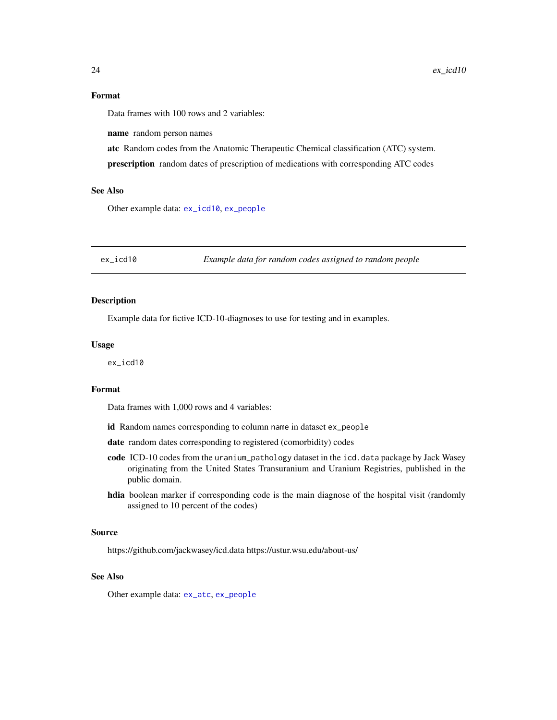#### <span id="page-23-0"></span>Format

Data frames with 100 rows and 2 variables:

name random person names

atc Random codes from the Anatomic Therapeutic Chemical classification (ATC) system.

prescription random dates of prescription of medications with corresponding ATC codes

# See Also

Other example data: [ex\\_icd10](#page-23-1), [ex\\_people](#page-24-2)

<span id="page-23-1"></span>ex\_icd10 *Example data for random codes assigned to random people*

# Description

Example data for fictive ICD-10-diagnoses to use for testing and in examples.

#### Usage

ex\_icd10

# Format

Data frames with 1,000 rows and 4 variables:

id Random names corresponding to column name in dataset ex\_people

date random dates corresponding to registered (comorbidity) codes

- code ICD-10 codes from the uranium\_pathology dataset in the icd.data package by Jack Wasey originating from the United States Transuranium and Uranium Registries, published in the public domain.
- hdia boolean marker if corresponding code is the main diagnose of the hospital visit (randomly assigned to 10 percent of the codes)

#### Source

https://github.com/jackwasey/icd.data https://ustur.wsu.edu/about-us/

#### See Also

Other example data: [ex\\_atc](#page-22-1), [ex\\_people](#page-24-2)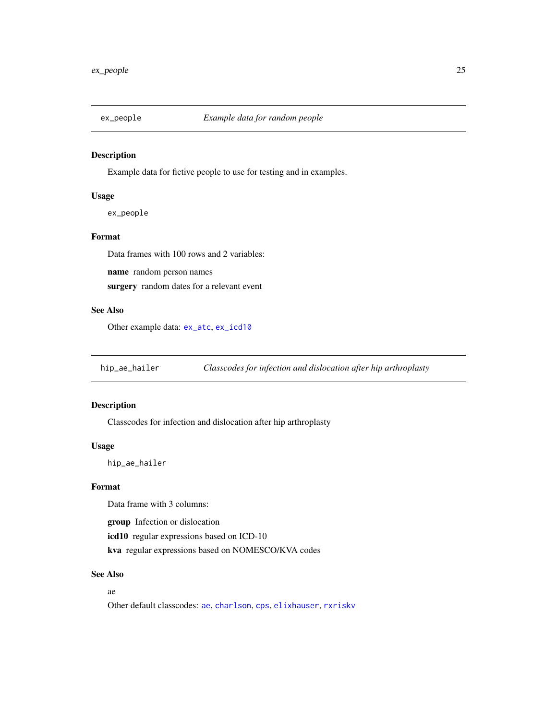<span id="page-24-2"></span><span id="page-24-0"></span>

# Description

Example data for fictive people to use for testing and in examples.

#### Usage

ex\_people

# Format

Data frames with 100 rows and 2 variables:

name random person names

surgery random dates for a relevant event

# See Also

Other example data: [ex\\_atc](#page-22-1), [ex\\_icd10](#page-23-1)

<span id="page-24-1"></span>hip\_ae\_hailer *Classcodes for infection and dislocation after hip arthroplasty*

# Description

Classcodes for infection and dislocation after hip arthroplasty

# Usage

hip\_ae\_hailer

# Format

Data frame with 3 columns:

group Infection or dislocation

icd10 regular expressions based on ICD-10

kva regular expressions based on NOMESCO/KVA codes

# See Also

# ae

Other default classcodes: [ae](#page-1-1), [charlson](#page-9-1), [cps](#page-20-1), [elixhauser](#page-21-1), [rxriskv](#page-28-1)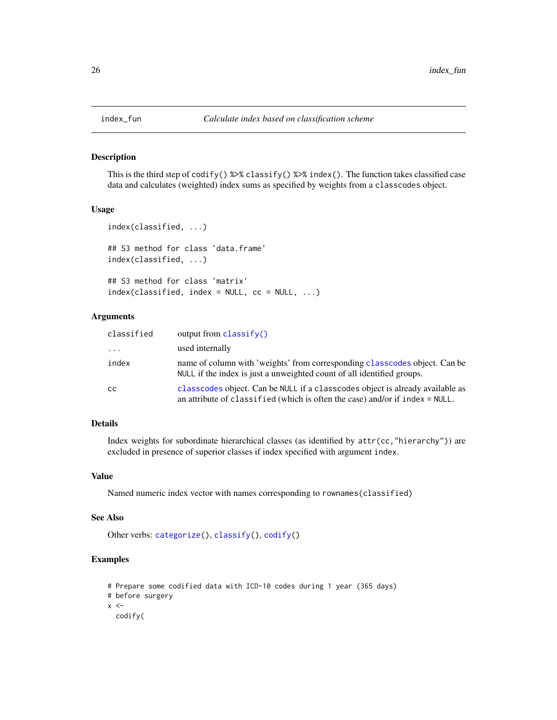<span id="page-25-2"></span><span id="page-25-0"></span>

#### <span id="page-25-1"></span>Description

This is the third step of  $\text{codify}()$  %>% classify() %>% index(). The function takes classified case data and calculates (weighted) index sums as specified by weights from a classcodes object.

# Usage

```
index(classified, ...)
## S3 method for class 'data.frame'
index(classified, ...)
## S3 method for class 'matrix'
index(classified, index = NULL, cc = NULL, ...)
```
#### Arguments

| classified | output from $\text{classify}()$                                                                                                                               |
|------------|---------------------------------------------------------------------------------------------------------------------------------------------------------------|
| $\cdots$   | used internally                                                                                                                                               |
| index      | name of column with 'weights' from corresponding classcodes object. Can be<br>NULL if the index is just a unweighted count of all identified groups.          |
| CC         | classcodes object. Can be NULL if a classcodes object is already available as<br>an attribute of classified (which is often the case) and/or if index = NULL. |

#### Details

Index weights for subordinate hierarchical classes (as identified by attr(cc,"hierarchy")) are excluded in presence of superior classes if index specified with argument index.

# Value

Named numeric index vector with names corresponding to rownames(classified)

#### See Also

Other verbs: [categorize\(](#page-5-1)), [classify\(](#page-13-1)), [codify\(](#page-17-1))

# Examples

```
# Prepare some codified data with ICD-10 codes during 1 year (365 days)
# before surgery
```
 $x < -$ 

codify(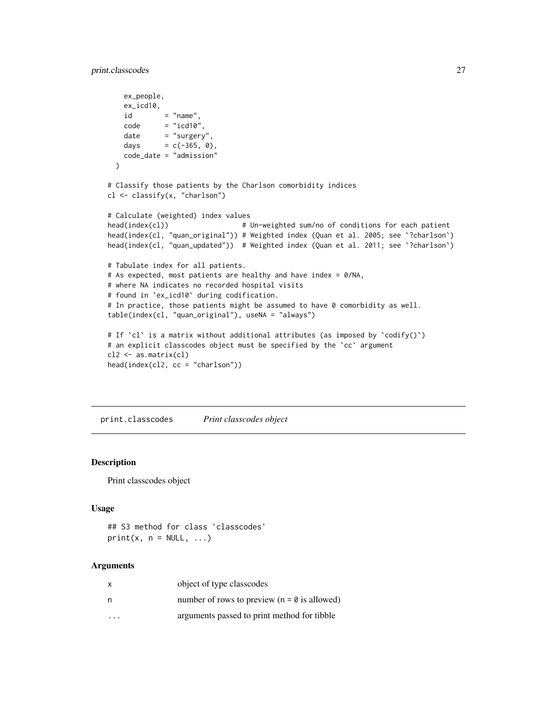```
ex_people,
   ex_icd10,
   id = "name",code = "icd10",date = "surgery",days = c(-365, 0),
   code_date = "admission"
 )
# Classify those patients by the Charlson comorbidity indices
cl <- classify(x, "charlson")
# Calculate (weighted) index values
head(index(cl)) # Un-weighted sum/no of conditions for each patient
head(index(cl, "quan_original")) # Weighted index (Quan et al. 2005; see `?charlson`)
head(index(cl, "quan_updated")) # Weighted index (Quan et al. 2011; see `?charlson`)
# Tabulate index for all patients.
# As expected, most patients are healthy and have index = 0/NA,
# where NA indicates no recorded hospital visits
# found in `ex_icd10` during codification.
# In practice, those patients might be assumed to have 0 comorbidity as well.
table(index(cl, "quan_original"), useNA = "always")
# If 'cl' is a matrix without additional attributes (as imposed by 'codify()')
# an explicit classcodes object must be specified by the `cc` argument
cl2 <- as.matrix(cl)
head(index(cl2, cc = "charlson"))
```
<span id="page-26-1"></span>print.classcodes *Print classcodes object*

## Description

Print classcodes object

#### Usage

## S3 method for class 'classcodes'  $print(x, n = NULL, ...)$ 

#### Arguments

| x        | object of type classcodes                       |
|----------|-------------------------------------------------|
| n        | number of rows to preview ( $n = 0$ is allowed) |
| $\cdots$ | arguments passed to print method for tibble     |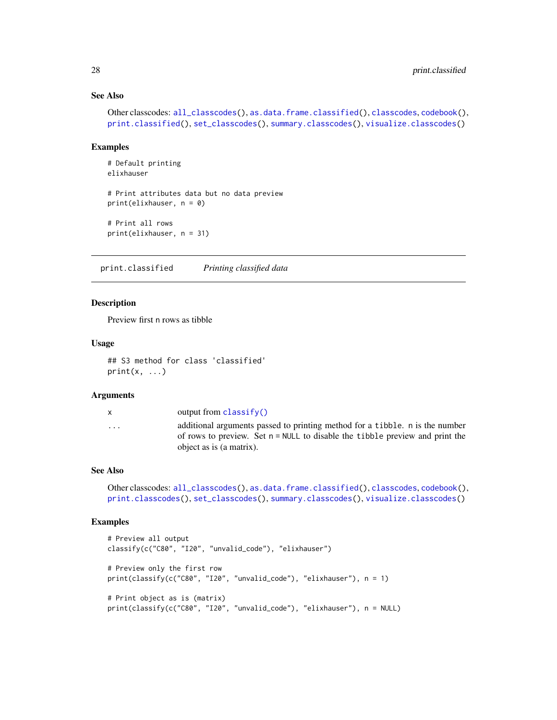# See Also

```
Other classcodes: all_classcodes(), as.data.frame.classified(), classcodes, codebook(),
print.classified(), set_classcodes(), summary.classcodes(), visualize.classcodes()
```
#### Examples

```
# Default printing
elixhauser
# Print attributes data but no data preview
print(elixhauser, n = 0)
# Print all rows
print(elixhauser, n = 31)
```
<span id="page-27-1"></span>print.classified *Printing classified data*

#### Description

Preview first n rows as tibble

#### Usage

```
## S3 method for class 'classified'
print(x, \ldots)
```
#### Arguments

x output from [classify\(\)](#page-13-1) ... additional arguments passed to printing method for a tibble. n is the number of rows to preview. Set n = NULL to disable the tibble preview and print the object as is (a matrix).

# See Also

```
Other classcodes: all_classcodes(), as.data.frame.classified(), classcodes, codebook(),
print.classcodes(), set_classcodes(), summary.classcodes(), visualize.classcodes()
```

```
# Preview all output
classify(c("C80", "I20", "unvalid_code"), "elixhauser")
# Preview only the first row
print(classify(c("C80", "I20", "unvalid_code"), "elixhauser"), n = 1)
# Print object as is (matrix)
print(classify(c("C80", "I20", "unvalid_code"), "elixhauser"), n = NULL)
```
<span id="page-27-0"></span>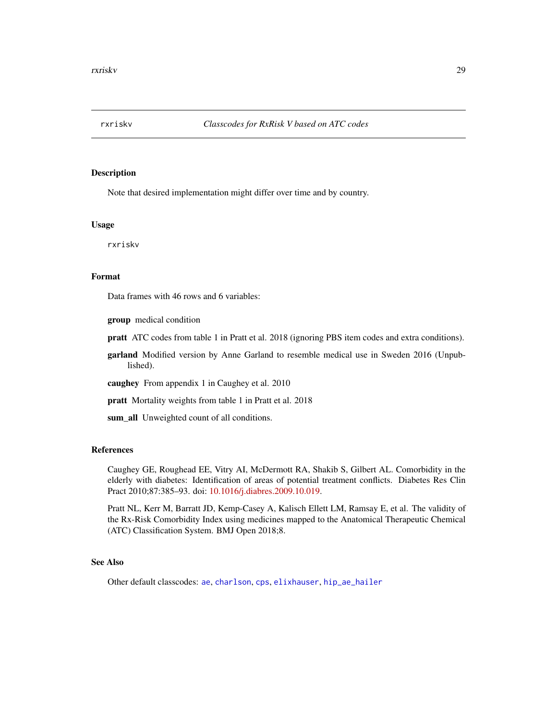<span id="page-28-1"></span><span id="page-28-0"></span>

#### Description

Note that desired implementation might differ over time and by country.

#### Usage

rxriskv

# Format

Data frames with 46 rows and 6 variables:

group medical condition

pratt ATC codes from table 1 in Pratt et al. 2018 (ignoring PBS item codes and extra conditions).

garland Modified version by Anne Garland to resemble medical use in Sweden 2016 (Unpublished).

caughey From appendix 1 in Caughey et al. 2010

pratt Mortality weights from table 1 in Pratt et al. 2018

sum\_all Unweighted count of all conditions.

# References

Caughey GE, Roughead EE, Vitry AI, McDermott RA, Shakib S, Gilbert AL. Comorbidity in the elderly with diabetes: Identification of areas of potential treatment conflicts. Diabetes Res Clin Pract 2010;87:385–93. doi: [10.1016/j.diabres.2009.10.019.](https://doi.org/10.1016/j.diabres.2009.10.019)

Pratt NL, Kerr M, Barratt JD, Kemp-Casey A, Kalisch Ellett LM, Ramsay E, et al. The validity of the Rx-Risk Comorbidity Index using medicines mapped to the Anatomical Therapeutic Chemical (ATC) Classification System. BMJ Open 2018;8.

# See Also

Other default classcodes: [ae](#page-1-1), [charlson](#page-9-1), [cps](#page-20-1), [elixhauser](#page-21-1), [hip\\_ae\\_hailer](#page-24-1)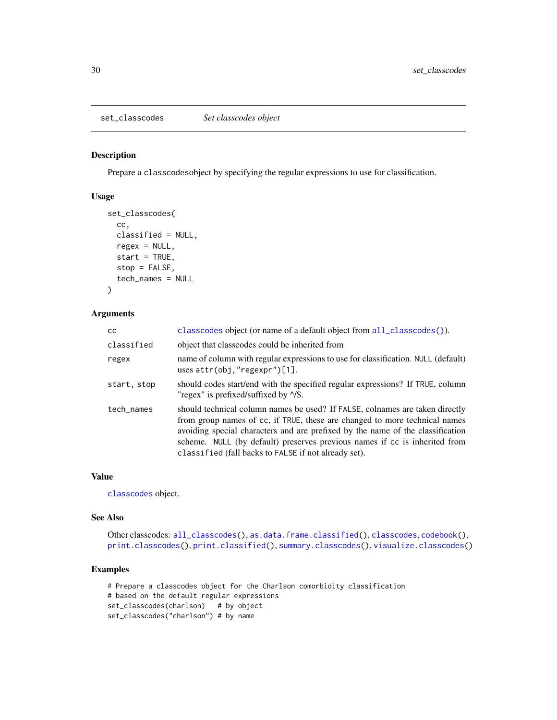<span id="page-29-1"></span><span id="page-29-0"></span>set\_classcodes *Set classcodes object*

# Description

Prepare a classcodesobject by specifying the regular expressions to use for classification.

#### Usage

```
set_classcodes(
 cc,
 classified = NULL,
 regex = NULL,
 start = TRUE,stop = FALSE,tech_names = NULL
)
```
#### Arguments

| <b>CC</b>   | classcodes object (or name of a default object from all_classcodes()).                                                                                                                                                                                                                                                                                                             |
|-------------|------------------------------------------------------------------------------------------------------------------------------------------------------------------------------------------------------------------------------------------------------------------------------------------------------------------------------------------------------------------------------------|
| classified  | object that classcodes could be inherited from                                                                                                                                                                                                                                                                                                                                     |
| regex       | name of column with regular expressions to use for classification. NULL (default)<br>uses $attr(obj, "regexpr")[1].$                                                                                                                                                                                                                                                               |
| start, stop | should codes start/end with the specified regular expressions? If TRUE, column<br>"regex" is prefixed/suffixed by $\frac{1}{s}$ .                                                                                                                                                                                                                                                  |
| tech_names  | should technical column names be used? If FALSE, colnames are taken directly<br>from group names of cc, if TRUE, these are changed to more technical names<br>avoiding special characters and are prefixed by the name of the classification<br>scheme. NULL (by default) preserves previous names if cc is inherited from<br>classified (fall backs to FALSE if not already set). |

#### Value

[classcodes](#page-10-1) object.

#### See Also

Other classcodes: [all\\_classcodes\(](#page-3-2)), [as.data.frame.classified\(](#page-3-1)), [classcodes](#page-10-1), [codebook\(](#page-15-1)), [print.classcodes\(](#page-26-1)), [print.classified\(](#page-27-1)), [summary.classcodes\(](#page-30-1)), [visualize.classcodes\(](#page-31-1))

```
# Prepare a classcodes object for the Charlson comorbidity classification
# based on the default regular expressions
set_classcodes(charlson) # by object
set_classcodes("charlson") # by name
```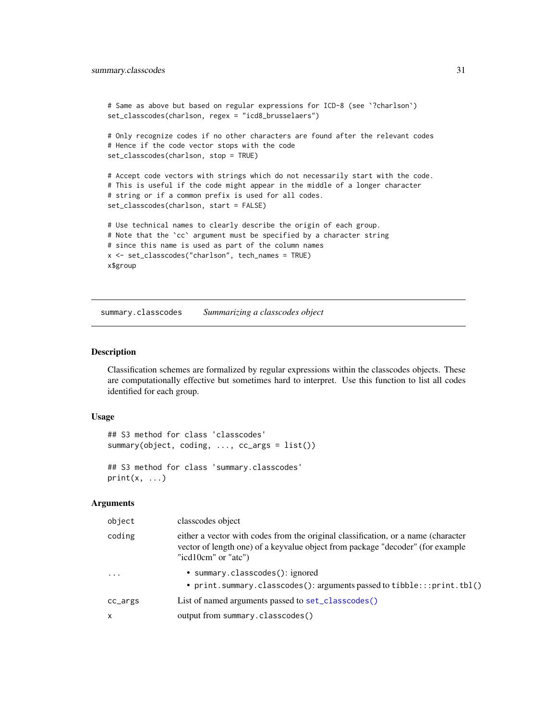```
# Same as above but based on regular expressions for ICD-8 (see `?charlson`)
set_classcodes(charlson, regex = "icd8_brusselaers")
# Only recognize codes if no other characters are found after the relevant codes
# Hence if the code vector stops with the code
set_classcodes(charlson, stop = TRUE)
# Accept code vectors with strings which do not necessarily start with the code.
# This is useful if the code might appear in the middle of a longer character
# string or if a common prefix is used for all codes.
set_classcodes(charlson, start = FALSE)
# Use technical names to clearly describe the origin of each group.
# Note that the `cc` argument must be specified by a character string
# since this name is used as part of the column names
x <- set_classcodes("charlson", tech_names = TRUE)
x$group
```
<span id="page-30-1"></span>summary.classcodes *Summarizing a classcodes object*

#### Description

Classification schemes are formalized by regular expressions within the classcodes objects. These are computationally effective but sometimes hard to interpret. Use this function to list all codes identified for each group.

#### Usage

```
## S3 method for class 'classcodes'
summary(object, coding, ..., cc_args = list())
## S3 method for class 'summary.classcodes'
```
 $print(x, \ldots)$ 

#### Arguments

| object                  | classcodes object                                                                                                                                                                          |
|-------------------------|--------------------------------------------------------------------------------------------------------------------------------------------------------------------------------------------|
| coding                  | either a vector with codes from the original classification, or a name (character<br>vector of length one) of a keyvalue object from package "decoder" (for example<br>"icd10cm" or "atc") |
| $\cdot$ $\cdot$ $\cdot$ | • summary.classcodes(): ignored<br>• print.summary.classcodes(): arguments passed to tibble:::print.tbl()                                                                                  |
| cc_args                 | List of named arguments passed to set_classcodes()                                                                                                                                         |
| $\mathsf{x}$            | output from summary.classcodes()                                                                                                                                                           |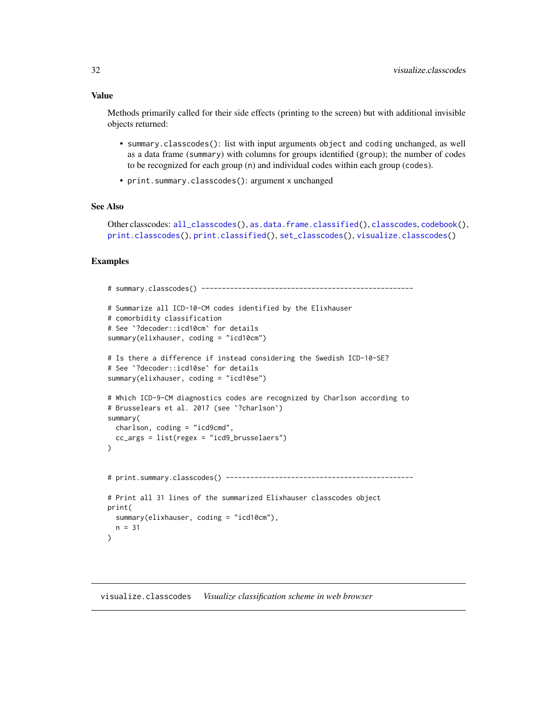#### <span id="page-31-0"></span>Value

Methods primarily called for their side effects (printing to the screen) but with additional invisible objects returned:

- summary.classcodes(): list with input arguments object and coding unchanged, as well as a data frame (summary) with columns for groups identified (group); the number of codes to be recognized for each group (n) and individual codes within each group (codes).
- print.summary.classcodes(): argument x unchanged

#### See Also

Other classcodes: [all\\_classcodes\(](#page-3-2)), [as.data.frame.classified\(](#page-3-1)), [classcodes](#page-10-1), [codebook\(](#page-15-1)), [print.classcodes\(](#page-26-1)), [print.classified\(](#page-27-1)), [set\\_classcodes\(](#page-29-1)), [visualize.classcodes\(](#page-31-1))

#### Examples

```
# summary.classcodes() ----------------------------------------------------
# Summarize all ICD-10-CM codes identified by the Elixhauser
# comorbidity classification
# See `?decoder::icd10cm` for details
summary(elixhauser, coding = "icd10cm")
# Is there a difference if instead considering the Swedish ICD-10-SE?
# See `?decoder::icd10se` for details
summary(elixhauser, coding = "icd10se")
# Which ICD-9-CM diagnostics codes are recognized by Charlson according to
# Brusselears et al. 2017 (see `?charlson`)
summary(
 charlson, coding = "icd9cmd",
 cc_args = list(regex = "icd9_brusselaers")
)
# print.summary.classcodes() ----------------------------------------------
# Print all 31 lines of the summarized Elixhauser classcodes object
print(
 summary(elixhauser, coding = "icd10cm"),
 n = 31)
```
<span id="page-31-1"></span>visualize.classcodes *Visualize classification scheme in web browser*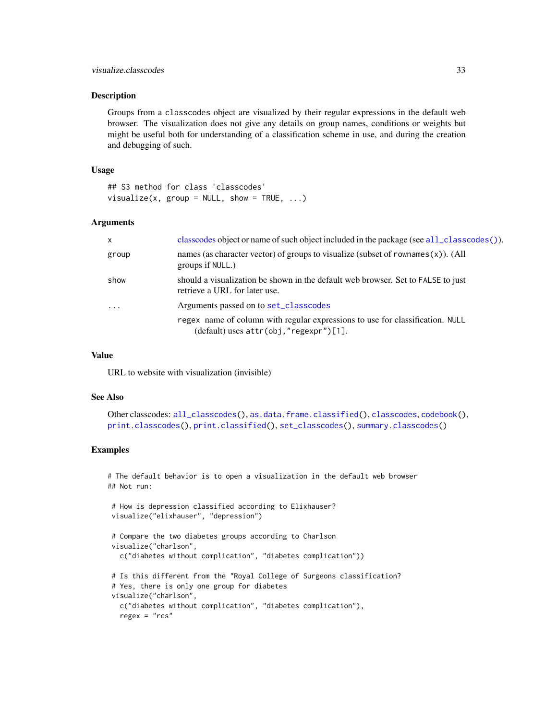#### <span id="page-32-0"></span>**Description**

Groups from a classcodes object are visualized by their regular expressions in the default web browser. The visualization does not give any details on group names, conditions or weights but might be useful both for understanding of a classification scheme in use, and during the creation and debugging of such.

#### Usage

## S3 method for class 'classcodes' visualize(x,  $group = NULL$ , show = TRUE, ...)

#### Arguments

| $\mathsf{x}$ | classcodes object or name of such object included in the package (see all_classcodes()).                                     |
|--------------|------------------------------------------------------------------------------------------------------------------------------|
| group        | names (as character vector) of groups to visualize (subset of rownames $(x)$ ). (All<br>groups if NULL.)                     |
| show         | should a visualization be shown in the default web browser. Set to FALSE to just<br>retrieve a URL for later use.            |
| $\cdot$      | Arguments passed on to set_classcodes                                                                                        |
|              | regex name of column with regular expressions to use for classification. NULL<br>$(default)$ uses $attr(obj, "regexpr")[1].$ |

#### Value

URL to website with visualization (invisible)

#### See Also

```
Other classcodes: all_classcodes(), as.data.frame.classified(), classcodes, codebook(),
print.classcodes(), print.classified(), set_classcodes(), summary.classcodes()
```

```
# The default behavior is to open a visualization in the default web browser
## Not run:
```

```
# How is depression classified according to Elixhauser?
visualize("elixhauser", "depression")
# Compare the two diabetes groups according to Charlson
visualize("charlson",
  c("diabetes without complication", "diabetes complication"))
# Is this different from the "Royal College of Surgeons classification?
# Yes, there is only one group for diabetes
visualize("charlson",
 c("diabetes without complication", "diabetes complication"),
  regex = "rcs"
```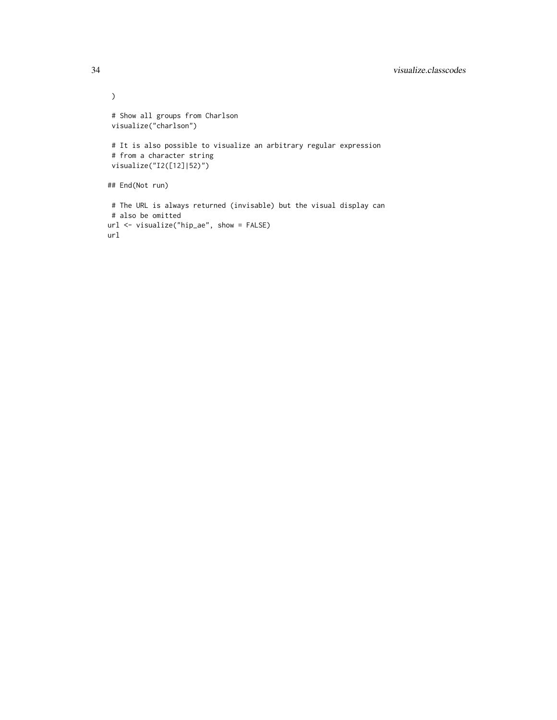```
\mathcal{L}# Show all groups from Charlson
 visualize("charlson")
 # It is also possible to visualize an arbitrary regular expression
 # from a character string
 visualize("I2([12]|52)")
## End(Not run)
 # The URL is always returned (invisable) but the visual display can
# also be omitted
url <- visualize("hip_ae", show = FALSE)
url
```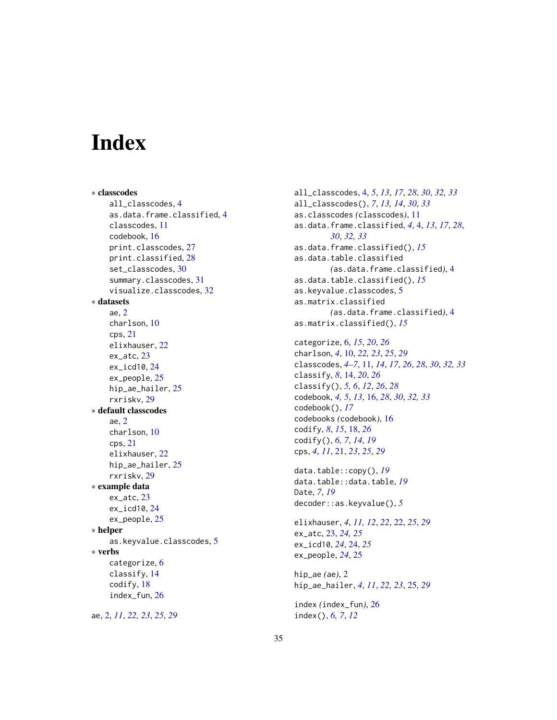# <span id="page-34-0"></span>**Index**

∗ classcodes all\_classcodes, [4](#page-3-0) as.data.frame.classified, [4](#page-3-0) classcodes, [11](#page-10-0) codebook, [16](#page-15-0) print.classcodes, [27](#page-26-0) print.classified, [28](#page-27-0) set\_classcodes, [30](#page-29-0) summary.classcodes, [31](#page-30-0) visualize.classcodes, [32](#page-31-0) ∗ datasets ae, [2](#page-1-0) charlson, [10](#page-9-0) cps, [21](#page-20-0) elixhauser, [22](#page-21-0) ex\_atc, [23](#page-22-0) ex\_icd10, [24](#page-23-0) ex\_people, [25](#page-24-0) hip\_ae\_hailer, [25](#page-24-0) rxriskv, [29](#page-28-0) ∗ default classcodes ae, [2](#page-1-0) charlson, [10](#page-9-0) cps, [21](#page-20-0) elixhauser, [22](#page-21-0) hip\_ae\_hailer, [25](#page-24-0) rxriskv, [29](#page-28-0) ∗ example data ex\_atc, [23](#page-22-0) ex\_icd10, [24](#page-23-0) ex\_people, [25](#page-24-0) ∗ helper as.keyvalue.classcodes, [5](#page-4-0) ∗ verbs categorize, [6](#page-5-0) classify, [14](#page-13-0) codify, [18](#page-17-0) index\_fun, [26](#page-25-0)

ae, [2,](#page-1-0) *[11](#page-10-0)*, *[22,](#page-21-0) [23](#page-22-0)*, *[25](#page-24-0)*, *[29](#page-28-0)*

all\_classcodes, [4,](#page-3-0) *[5](#page-4-0)*, *[13](#page-12-0)*, *[17](#page-16-0)*, *[28](#page-27-0)*, *[30](#page-29-0)*, *[32,](#page-31-0) [33](#page-32-0)* all\_classcodes(), *[7](#page-6-0)*, *[13,](#page-12-0) [14](#page-13-0)*, *[30](#page-29-0)*, *[33](#page-32-0)* as.classcodes *(*classcodes*)*, [11](#page-10-0) as.data.frame.classified, *[4](#page-3-0)*, [4,](#page-3-0) *[13](#page-12-0)*, *[17](#page-16-0)*, *[28](#page-27-0)*, *[30](#page-29-0)*, *[32,](#page-31-0) [33](#page-32-0)* as.data.frame.classified(), *[15](#page-14-0)* as.data.table.classified *(*as.data.frame.classified*)*, [4](#page-3-0) as.data.table.classified(), *[15](#page-14-0)* as.keyvalue.classcodes, [5](#page-4-0) as.matrix.classified *(*as.data.frame.classified*)*, [4](#page-3-0) as.matrix.classified(), *[15](#page-14-0)*

categorize, [6,](#page-5-0) *[15](#page-14-0)*, *[20](#page-19-0)*, *[26](#page-25-0)* charlson, *[4](#page-3-0)*, [10,](#page-9-0) *[22,](#page-21-0) [23](#page-22-0)*, *[25](#page-24-0)*, *[29](#page-28-0)* classcodes, *[4](#page-3-0)[–7](#page-6-0)*, [11,](#page-10-0) *[14](#page-13-0)*, *[17](#page-16-0)*, *[26](#page-25-0)*, *[28](#page-27-0)*, *[30](#page-29-0)*, *[32,](#page-31-0) [33](#page-32-0)* classify, *[8](#page-7-0)*, [14,](#page-13-0) *[20](#page-19-0)*, *[26](#page-25-0)* classify(), *[5,](#page-4-0) [6](#page-5-0)*, *[12](#page-11-0)*, *[26](#page-25-0)*, *[28](#page-27-0)* codebook, *[4,](#page-3-0) [5](#page-4-0)*, *[13](#page-12-0)*, [16,](#page-15-0) *[28](#page-27-0)*, *[30](#page-29-0)*, *[32,](#page-31-0) [33](#page-32-0)* codebook(), *[17](#page-16-0)* codebooks *(*codebook*)*, [16](#page-15-0) codify, *[8](#page-7-0)*, *[15](#page-14-0)*, [18,](#page-17-0) *[26](#page-25-0)* codify(), *[6,](#page-5-0) [7](#page-6-0)*, *[14](#page-13-0)*, *[19](#page-18-0)* cps, *[4](#page-3-0)*, *[11](#page-10-0)*, [21,](#page-20-0) *[23](#page-22-0)*, *[25](#page-24-0)*, *[29](#page-28-0)*

data.table::copy(), *[19](#page-18-0)* data.table::data.table, *[19](#page-18-0)* Date, *[7](#page-6-0)*, *[19](#page-18-0)* decoder::as.keyvalue(), *[5](#page-4-0)*

elixhauser, *[4](#page-3-0)*, *[11,](#page-10-0) [12](#page-11-0)*, *[22](#page-21-0)*, [22,](#page-21-0) *[25](#page-24-0)*, *[29](#page-28-0)* ex\_atc, [23,](#page-22-0) *[24,](#page-23-0) [25](#page-24-0)* ex\_icd10, *[24](#page-23-0)*, [24,](#page-23-0) *[25](#page-24-0)* ex\_people, *[24](#page-23-0)*, [25](#page-24-0)

hip\_ae *(*ae*)*, [2](#page-1-0) hip\_ae\_hailer, *[4](#page-3-0)*, *[11](#page-10-0)*, *[22,](#page-21-0) [23](#page-22-0)*, [25,](#page-24-0) *[29](#page-28-0)*

index *(*index\_fun*)*, [26](#page-25-0) index(), *[6,](#page-5-0) [7](#page-6-0)*, *[12](#page-11-0)*